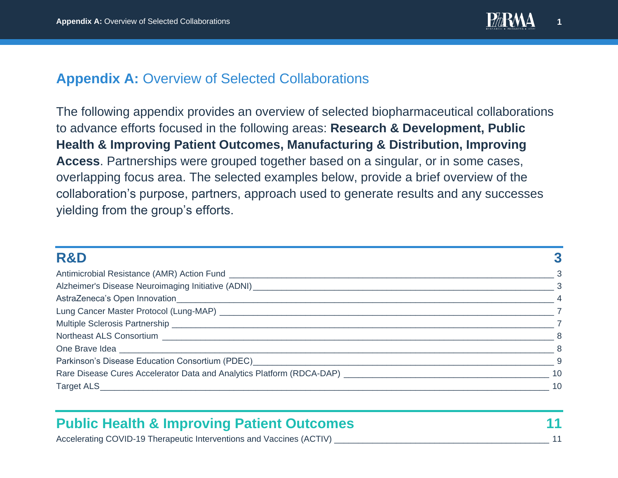

## **Appendix A:** Overview of Selected Collaborations

The following appendix provides an overview of selected biopharmaceutical collaborations to advance efforts focused in the following areas: **Research & Development, Public Health & Improving Patient Outcomes, Manufacturing & Distribution, Improving Access**. Partnerships were grouped together based on a singular, or in some cases, overlapping focus area. The selected examples below, provide a brief overview of the collaboration's purpose, partners, approach used to generate results and any successes yielding from the group's efforts.

| <b>R&amp;D</b>                                                                                                                                                                                                                 |          |
|--------------------------------------------------------------------------------------------------------------------------------------------------------------------------------------------------------------------------------|----------|
|                                                                                                                                                                                                                                |          |
|                                                                                                                                                                                                                                | $\sim$ 3 |
|                                                                                                                                                                                                                                |          |
| Lung Cancer Master Protocol (Lung-MAP) Lung Cancer Cancer Control of the Cancer Cancer Cancer Cancer Cancer Cancer Cancer Cancer Cancer Cancer Cancer Cancer Cancer Cancer Cancer Cancer Cancer Cancer Cancer Cancer Cancer Ca |          |
|                                                                                                                                                                                                                                |          |
|                                                                                                                                                                                                                                |          |
|                                                                                                                                                                                                                                |          |
| Parkinson's Disease Education Consortium (PDEC) Network and the control of the control of the control of the control of the control of the control of the control of the control of the control of the control of the control  |          |
| Rare Disease Cures Accelerator Data and Analytics Platform (RDCA-DAP) [19] Decree Disease Cures Accelerator Data and Analytics Platform (RDCA-DAP) [19] Decree Disease Cures Accelerator Data and Analytics Platform (RDCA-DAP |          |
|                                                                                                                                                                                                                                | 10       |

| <b>Public Health &amp; Improving Patient Outcomes</b>                |  |
|----------------------------------------------------------------------|--|
| Accelerating COVID-19 Therapeutic Interventions and Vaccines (ACTIV) |  |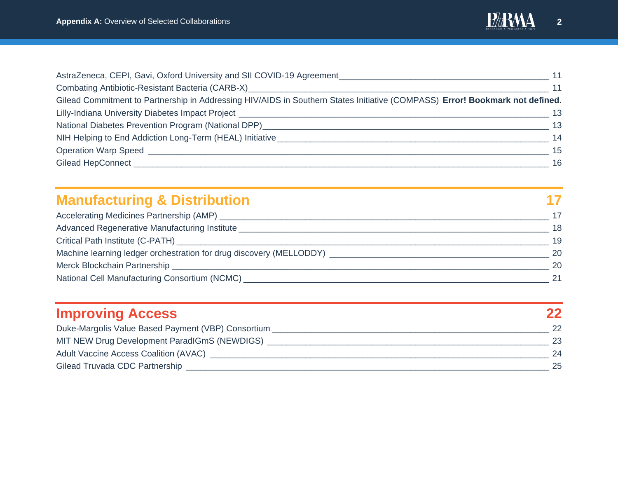

| AstraZeneca, CEPI, Gavi, Oxford University and SII COVID-19 Agreement                                                        | 11  |
|------------------------------------------------------------------------------------------------------------------------------|-----|
| Combating Antibiotic-Resistant Bacteria (CARB-X)                                                                             | 11  |
| Gilead Commitment to Partnership in Addressing HIV/AIDS in Southern States Initiative (COMPASS) Error! Bookmark not defined. |     |
| Lilly-Indiana University Diabetes Impact Project Learn Communication and Communications of the Communication                 | -13 |
| National Diabetes Prevention Program (National DPP)                                                                          | 13  |
| NIH Helping to End Addiction Long-Term (HEAL) Initiative                                                                     | 14  |
| Operation Warp Speed                                                                                                         | 15  |
| Gilead HepConnect                                                                                                            | 16  |

| <b>Manufacturing &amp; Distribution</b>                                          |    |
|----------------------------------------------------------------------------------|----|
| Accelerating Medicines Partnership (AMP) ______                                  |    |
| Advanced Regenerative Manufacturing Institute                                    | 18 |
|                                                                                  | 19 |
| Machine learning ledger orchestration for drug discovery (MELLODDY) ____________ | 20 |
|                                                                                  | 20 |
| National Cell Manufacturing Consortium (NCMC) ___________                        | 21 |

| <b>Improving Access</b>                            |                 |
|----------------------------------------------------|-----------------|
| Duke-Margolis Value Based Payment (VBP) Consortium | 22 <sub>2</sub> |
| MIT NEW Drug Development ParadIGmS (NEWDIGS)       | 23              |
| Adult Vaccine Access Coalition (AVAC)              | 24              |
| Gilead Truvada CDC Partnership                     | 25              |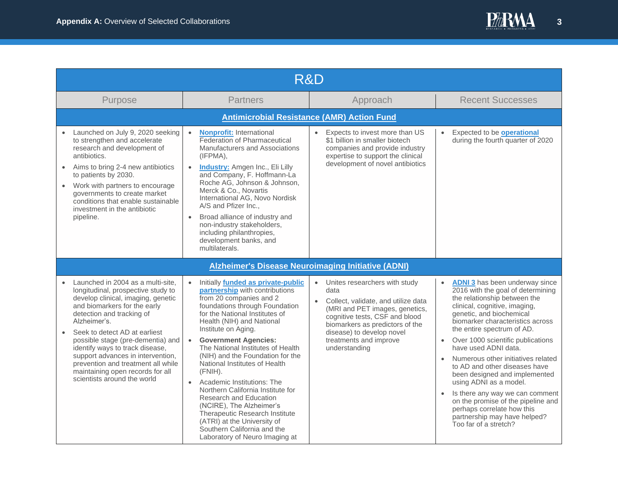

<span id="page-2-2"></span><span id="page-2-1"></span><span id="page-2-0"></span>

|                                                                                                                                                                                                                                                                                                                                                                                                                                                   | R&D       |                                                                                                                                                                                                                                                                                                                                                                                                                                                                                                                                                                                                                                                 |                                                                                                                                                                                                                                                                                       |                                                                                                                                                                                                                                                                                                                                                                                                                                                                                                                                                                                                                                                 |  |  |
|---------------------------------------------------------------------------------------------------------------------------------------------------------------------------------------------------------------------------------------------------------------------------------------------------------------------------------------------------------------------------------------------------------------------------------------------------|-----------|-------------------------------------------------------------------------------------------------------------------------------------------------------------------------------------------------------------------------------------------------------------------------------------------------------------------------------------------------------------------------------------------------------------------------------------------------------------------------------------------------------------------------------------------------------------------------------------------------------------------------------------------------|---------------------------------------------------------------------------------------------------------------------------------------------------------------------------------------------------------------------------------------------------------------------------------------|-------------------------------------------------------------------------------------------------------------------------------------------------------------------------------------------------------------------------------------------------------------------------------------------------------------------------------------------------------------------------------------------------------------------------------------------------------------------------------------------------------------------------------------------------------------------------------------------------------------------------------------------------|--|--|
| Purpose                                                                                                                                                                                                                                                                                                                                                                                                                                           |           | <b>Partners</b>                                                                                                                                                                                                                                                                                                                                                                                                                                                                                                                                                                                                                                 | Approach                                                                                                                                                                                                                                                                              | <b>Recent Successes</b>                                                                                                                                                                                                                                                                                                                                                                                                                                                                                                                                                                                                                         |  |  |
|                                                                                                                                                                                                                                                                                                                                                                                                                                                   |           | <b>Antimicrobial Resistance (AMR) Action Fund</b>                                                                                                                                                                                                                                                                                                                                                                                                                                                                                                                                                                                               |                                                                                                                                                                                                                                                                                       |                                                                                                                                                                                                                                                                                                                                                                                                                                                                                                                                                                                                                                                 |  |  |
| Launched on July 9, 2020 seeking<br>to strengthen and accelerate<br>research and development of<br>antibiotics.<br>Aims to bring 2-4 new antibiotics<br>to patients by 2030.<br>Work with partners to encourage<br>governments to create market<br>conditions that enable sustainable<br>investment in the antibiotic<br>pipeline.                                                                                                                | $\bullet$ | <b>Nonprofit:</b> International<br>Federation of Pharmaceutical<br>Manufacturers and Associations<br>(IFPMA),<br><b>Industry:</b> Amgen Inc., Eli Lilly<br>and Company, F. Hoffmann-La<br>Roche AG, Johnson & Johnson,<br>Merck & Co., Novartis<br>International AG, Novo Nordisk<br>A/S and Pfizer Inc.,<br>Broad alliance of industry and<br>non-industry stakeholders,<br>including philanthropies,<br>development banks, and<br>multilaterals.                                                                                                                                                                                              | Expects to invest more than US<br>\$1 billion in smaller biotech<br>companies and provide industry<br>expertise to support the clinical<br>development of novel antibiotics                                                                                                           | Expected to be <b>operational</b><br>$\bullet$<br>during the fourth quarter of 2020                                                                                                                                                                                                                                                                                                                                                                                                                                                                                                                                                             |  |  |
|                                                                                                                                                                                                                                                                                                                                                                                                                                                   |           | <b>Alzheimer's Disease Neuroimaging Initiative (ADNI)</b>                                                                                                                                                                                                                                                                                                                                                                                                                                                                                                                                                                                       |                                                                                                                                                                                                                                                                                       |                                                                                                                                                                                                                                                                                                                                                                                                                                                                                                                                                                                                                                                 |  |  |
| Launched in 2004 as a multi-site,<br>longitudinal, prospective study to<br>develop clinical, imaging, genetic<br>and biomarkers for the early<br>detection and tracking of<br>Alzheimer's.<br>Seek to detect AD at earliest<br>possible stage (pre-dementia) and<br>identify ways to track disease,<br>support advances in intervention,<br>prevention and treatment all while<br>maintaining open records for all<br>scientists around the world |           | Initially funded as private-public<br>partnership with contributions<br>from 20 companies and 2<br>foundations through Foundation<br>for the National Institutes of<br>Health (NIH) and National<br>Institute on Aging.<br><b>Government Agencies:</b><br>The National Institutes of Health<br>(NIH) and the Foundation for the<br>National Institutes of Health<br>(FNIH).<br>• Academic Institutions: The<br>Northern California Institute for<br><b>Research and Education</b><br>(NCIRE), The Alzheimer's<br>Therapeutic Research Institute<br>(ATRI) at the University of<br>Southern California and the<br>Laboratory of Neuro Imaging at | Unites researchers with study<br>$\bullet$<br>data<br>Collect, validate, and utilize data<br>$\bullet$<br>(MRI and PET images, genetics,<br>cognitive tests, CSF and blood<br>biomarkers as predictors of the<br>disease) to develop novel<br>treatments and improve<br>understanding | <b>ADNI 3</b> has been underway since<br>$\bullet$<br>2016 with the goal of determining<br>the relationship between the<br>clinical, cognitive, imaging,<br>genetic, and biochemical<br>biomarker characteristics across<br>the entire spectrum of AD.<br>Over 1000 scientific publications<br>have used ADNI data.<br>Numerous other initiatives related<br>$\bullet$<br>to AD and other diseases have<br>been designed and implemented<br>using ADNI as a model.<br>Is there any way we can comment<br>$\bullet$<br>on the promise of the pipeline and<br>perhaps correlate how this<br>partnership may have helped?<br>Too far of a stretch? |  |  |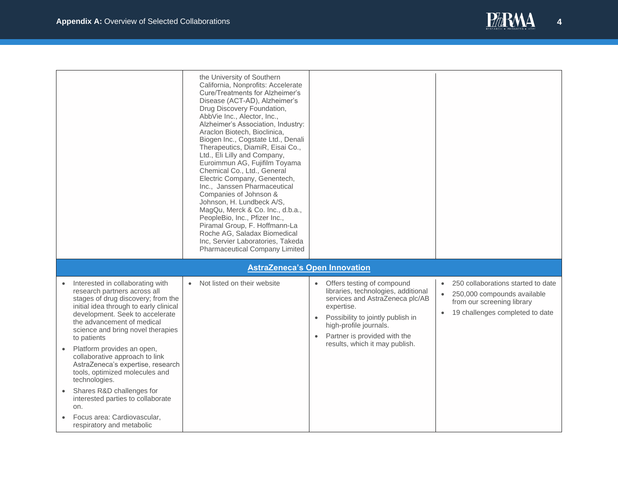

<span id="page-3-0"></span>

|                                                                                                                                                                                                                                                                                                                                                                                                                                                                                                                                                                    | the University of Southern<br>California, Nonprofits: Accelerate<br><b>Cure/Treatments for Alzheimer's</b><br>Disease (ACT-AD), Alzheimer's<br>Drug Discovery Foundation,<br>AbbVie Inc., Alector, Inc.,<br>Alzheimer's Association, Industry:<br>Araclon Biotech, Bioclinica,<br>Biogen Inc., Cogstate Ltd., Denali<br>Therapeutics, DiamiR, Eisai Co.,<br>Ltd., Eli Lilly and Company,<br>Euroimmun AG, Fujifilm Toyama<br>Chemical Co., Ltd., General<br>Electric Company, Genentech,<br>Inc., Janssen Pharmaceutical<br>Companies of Johnson &<br>Johnson, H. Lundbeck A/S,<br>MagQu, Merck & Co. Inc., d.b.a.,<br>PeopleBio, Inc., Pfizer Inc.,<br>Piramal Group, F. Hoffmann-La<br>Roche AG, Saladax Biomedical<br>Inc, Servier Laboratories, Takeda<br>Pharmaceutical Company Limited |                                                                                                                                                                                                                                                                  |                                                                                                                                                                           |
|--------------------------------------------------------------------------------------------------------------------------------------------------------------------------------------------------------------------------------------------------------------------------------------------------------------------------------------------------------------------------------------------------------------------------------------------------------------------------------------------------------------------------------------------------------------------|----------------------------------------------------------------------------------------------------------------------------------------------------------------------------------------------------------------------------------------------------------------------------------------------------------------------------------------------------------------------------------------------------------------------------------------------------------------------------------------------------------------------------------------------------------------------------------------------------------------------------------------------------------------------------------------------------------------------------------------------------------------------------------------------|------------------------------------------------------------------------------------------------------------------------------------------------------------------------------------------------------------------------------------------------------------------|---------------------------------------------------------------------------------------------------------------------------------------------------------------------------|
|                                                                                                                                                                                                                                                                                                                                                                                                                                                                                                                                                                    |                                                                                                                                                                                                                                                                                                                                                                                                                                                                                                                                                                                                                                                                                                                                                                                              | <b>AstraZeneca's Open Innovation</b>                                                                                                                                                                                                                             |                                                                                                                                                                           |
| Interested in collaborating with<br>research partners across all<br>stages of drug discovery; from the<br>initial idea through to early clinical<br>development. Seek to accelerate<br>the advancement of medical<br>science and bring novel therapies<br>to patients<br>Platform provides an open,<br>collaborative approach to link<br>AstraZeneca's expertise, research<br>tools, optimized molecules and<br>technologies.<br>Shares R&D challenges for<br>interested parties to collaborate<br>on.<br>Focus area: Cardiovascular,<br>respiratory and metabolic | Not listed on their website                                                                                                                                                                                                                                                                                                                                                                                                                                                                                                                                                                                                                                                                                                                                                                  | Offers testing of compound<br>$\bullet$<br>libraries, technologies, additional<br>services and AstraZeneca plc/AB<br>expertise.<br>Possibility to jointly publish in<br>high-profile journals.<br>Partner is provided with the<br>results, which it may publish. | 250 collaborations started to date<br>$\bullet$<br>250,000 compounds available<br>$\bullet$<br>from our screening library<br>19 challenges completed to date<br>$\bullet$ |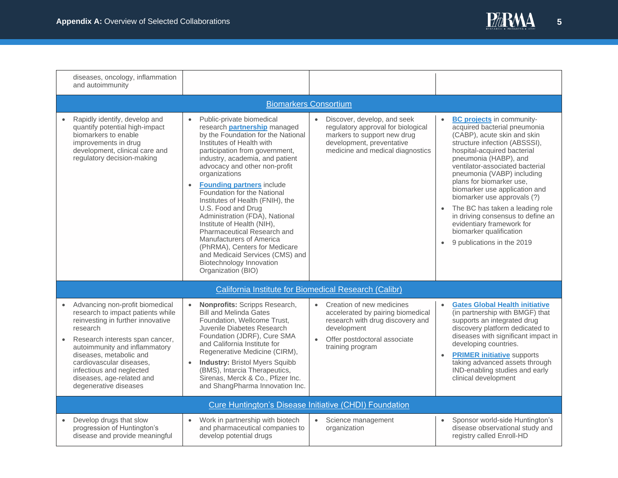

| diseases, oncology, inflammation<br>and autoimmunity                                                                                                                                                                                                                                                                               |                                                                                                                                                                                                                                                                                                                                                                                                                                                                                                                                                                                                                                                |                                                                                                                                                                                                 |                                                                                                                                                                                                                                                                                                                                                                                                                                                                                                                                  |  |  |
|------------------------------------------------------------------------------------------------------------------------------------------------------------------------------------------------------------------------------------------------------------------------------------------------------------------------------------|------------------------------------------------------------------------------------------------------------------------------------------------------------------------------------------------------------------------------------------------------------------------------------------------------------------------------------------------------------------------------------------------------------------------------------------------------------------------------------------------------------------------------------------------------------------------------------------------------------------------------------------------|-------------------------------------------------------------------------------------------------------------------------------------------------------------------------------------------------|----------------------------------------------------------------------------------------------------------------------------------------------------------------------------------------------------------------------------------------------------------------------------------------------------------------------------------------------------------------------------------------------------------------------------------------------------------------------------------------------------------------------------------|--|--|
| <b>Biomarkers Consortium</b>                                                                                                                                                                                                                                                                                                       |                                                                                                                                                                                                                                                                                                                                                                                                                                                                                                                                                                                                                                                |                                                                                                                                                                                                 |                                                                                                                                                                                                                                                                                                                                                                                                                                                                                                                                  |  |  |
| Rapidly identify, develop and<br>quantify potential high-impact<br>biomarkers to enable<br>improvements in drug<br>development, clinical care and<br>regulatory decision-making                                                                                                                                                    | Public-private biomedical<br>$\bullet$<br>research partnership managed<br>by the Foundation for the National<br>Institutes of Health with<br>participation from government,<br>industry, academia, and patient<br>advocacy and other non-profit<br>organizations<br><b>Founding partners include</b><br>Foundation for the National<br>Institutes of Health (FNIH), the<br>U.S. Food and Drug<br>Administration (FDA), National<br>Institute of Health (NIH),<br>Pharmaceutical Research and<br>Manufacturers of America<br>(PhRMA), Centers for Medicare<br>and Medicaid Services (CMS) and<br>Biotechnology Innovation<br>Organization (BIO) | Discover, develop, and seek<br>$\bullet$<br>regulatory approval for biological<br>markers to support new drug<br>development, preventative<br>medicine and medical diagnostics                  | <b>BC projects in community-</b><br>acquired bacterial pneumonia<br>(CABP), acute skin and skin<br>structure infection (ABSSSI),<br>hospital-acquired bacterial<br>pneumonia (HABP), and<br>ventilator-associated bacterial<br>pneumonia (VABP) including<br>plans for biomarker use,<br>biomarker use application and<br>biomarker use approvals (?)<br>The BC has taken a leading role<br>in driving consensus to define an<br>evidentiary framework for<br>biomarker qualification<br>9 publications in the 2019<br>$\bullet$ |  |  |
|                                                                                                                                                                                                                                                                                                                                    |                                                                                                                                                                                                                                                                                                                                                                                                                                                                                                                                                                                                                                                | California Institute for Biomedical Research (Calibr)                                                                                                                                           |                                                                                                                                                                                                                                                                                                                                                                                                                                                                                                                                  |  |  |
| Advancing non-profit biomedical<br>research to impact patients while<br>reinvesting in further innovative<br>research<br>Research interests span cancer,<br>autoimmunity and inflammatory<br>diseases, metabolic and<br>cardiovascular diseases.<br>infectious and neglected<br>diseases, age-related and<br>degenerative diseases | Nonprofits: Scripps Research,<br><b>Bill and Melinda Gates</b><br>Foundation, Wellcome Trust,<br>Juvenile Diabetes Research<br>Foundation (JDRF), Cure SMA<br>and California Institute for<br>Regenerative Medicine (CIRM),<br><b>Industry: Bristol Myers Squibb</b><br>$\bullet$<br>(BMS), Intarcia Therapeutics,<br>Sirenas, Merck & Co., Pfizer Inc.<br>and ShangPharma Innovation Inc.                                                                                                                                                                                                                                                     | Creation of new medicines<br>$\bullet$<br>accelerated by pairing biomedical<br>research with drug discovery and<br>development<br>Offer postdoctoral associate<br>$\bullet$<br>training program | <b>Gates Global Health initiative</b><br>(in partnership with BMGF) that<br>supports an integrated drug<br>discovery platform dedicated to<br>diseases with significant impact in<br>developing countries.<br><b>PRIMER initiative supports</b><br>$\bullet$<br>taking advanced assets through<br>IND-enabling studies and early<br>clinical development                                                                                                                                                                         |  |  |
|                                                                                                                                                                                                                                                                                                                                    |                                                                                                                                                                                                                                                                                                                                                                                                                                                                                                                                                                                                                                                | Cure Huntington's Disease Initiative (CHDI) Foundation                                                                                                                                          |                                                                                                                                                                                                                                                                                                                                                                                                                                                                                                                                  |  |  |
| Develop drugs that slow<br>progression of Huntington's<br>disease and provide meaningful                                                                                                                                                                                                                                           | Work in partnership with biotech<br>and pharmaceutical companies to<br>develop potential drugs                                                                                                                                                                                                                                                                                                                                                                                                                                                                                                                                                 | Science management<br>$\bullet$<br>organization                                                                                                                                                 | Sponsor world-side Huntington's<br>$\bullet$<br>disease observational study and<br>registry called Enroll-HD                                                                                                                                                                                                                                                                                                                                                                                                                     |  |  |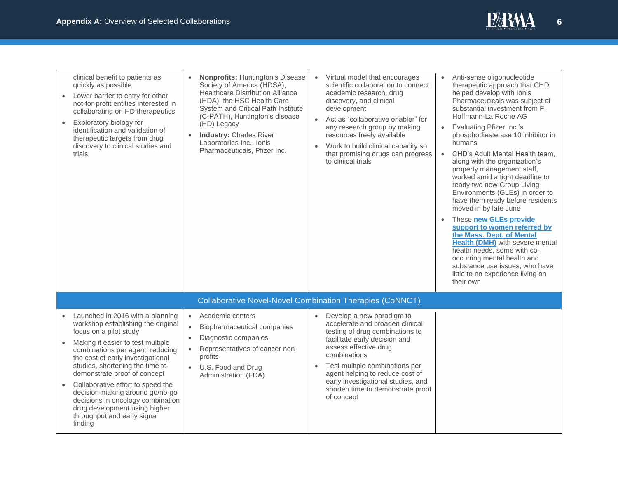

| clinical benefit to patients as<br>quickly as possible<br>Lower barrier to entry for other<br>$\bullet$<br>not-for-profit entities interested in<br>collaborating on HD therapeutics<br>Exploratory biology for<br>$\bullet$<br>identification and validation of<br>therapeutic targets from drug<br>discovery to clinical studies and<br>trials                                                                                                                                                    | <b>Nonprofits: Huntington's Disease</b><br>Society of America (HDSA),<br><b>Healthcare Distribution Alliance</b><br>(HDA), the HSC Health Care<br>System and Critical Path Institute<br>(C-PATH), Huntington's disease<br>(HD) Legacy<br><b>Industry: Charles River</b><br>Laboratories Inc., Ionis<br>Pharmaceuticals, Pfizer Inc. | Virtual model that encourages<br>$\bullet$<br>scientific collaboration to connect<br>academic research, drug<br>discovery, and clinical<br>development<br>Act as "collaborative enabler" for<br>$\bullet$<br>any research group by making<br>resources freely available<br>Work to build clinical capacity so<br>$\bullet$<br>that promising drugs can progress<br>to clinical trials | Anti-sense oligonucleotide<br>therapeutic approach that CHDI<br>helped develop with Ionis<br>Pharmaceuticals was subject of<br>substantial investment from F.<br>Hoffmann-La Roche AG<br><b>Evaluating Pfizer Inc.'s</b><br>$\bullet$<br>phosphodiesterase 10 inhibitor in<br>humans<br>CHD's Adult Mental Health team,<br>$\bullet$<br>along with the organization's<br>property management staff,<br>worked amid a tight deadline to<br>ready two new Group Living<br>Environments (GLEs) in order to<br>have them ready before residents<br>moved in by late June<br>These new GLEs provide<br>support to women referred by<br>the Mass. Dept. of Mental<br><b>Health (DMH)</b> with severe mental<br>health needs, some with co-<br>occurring mental health and<br>substance use issues, who have<br>little to no experience living on<br>their own |
|-----------------------------------------------------------------------------------------------------------------------------------------------------------------------------------------------------------------------------------------------------------------------------------------------------------------------------------------------------------------------------------------------------------------------------------------------------------------------------------------------------|-------------------------------------------------------------------------------------------------------------------------------------------------------------------------------------------------------------------------------------------------------------------------------------------------------------------------------------|---------------------------------------------------------------------------------------------------------------------------------------------------------------------------------------------------------------------------------------------------------------------------------------------------------------------------------------------------------------------------------------|---------------------------------------------------------------------------------------------------------------------------------------------------------------------------------------------------------------------------------------------------------------------------------------------------------------------------------------------------------------------------------------------------------------------------------------------------------------------------------------------------------------------------------------------------------------------------------------------------------------------------------------------------------------------------------------------------------------------------------------------------------------------------------------------------------------------------------------------------------|
|                                                                                                                                                                                                                                                                                                                                                                                                                                                                                                     | <b>Collaborative Novel-Novel Combination Therapies (CoNNCT)</b>                                                                                                                                                                                                                                                                     |                                                                                                                                                                                                                                                                                                                                                                                       |                                                                                                                                                                                                                                                                                                                                                                                                                                                                                                                                                                                                                                                                                                                                                                                                                                                         |
| Launched in 2016 with a planning<br>$\bullet$<br>workshop establishing the original<br>focus on a pilot study<br>Making it easier to test multiple<br>combinations per agent, reducing<br>the cost of early investigational<br>studies, shortening the time to<br>demonstrate proof of concept<br>Collaborative effort to speed the<br>$\bullet$<br>decision-making around go/no-go<br>decisions in oncology combination<br>drug development using higher<br>throughput and early signal<br>finding | Academic centers<br>$\bullet$<br>Biopharmaceutical companies<br>$\bullet$<br>Diagnostic companies<br>Representatives of cancer non-<br>$\bullet$<br>profits<br>U.S. Food and Drug<br>Administration (FDA)                                                                                                                           | Develop a new paradigm to<br>$\bullet$<br>accelerate and broaden clinical<br>testing of drug combinations to<br>facilitate early decision and<br>assess effective drug<br>combinations<br>Test multiple combinations per<br>$\bullet$<br>agent helping to reduce cost of<br>early investigational studies, and<br>shorten time to demonstrate proof<br>of concept                     |                                                                                                                                                                                                                                                                                                                                                                                                                                                                                                                                                                                                                                                                                                                                                                                                                                                         |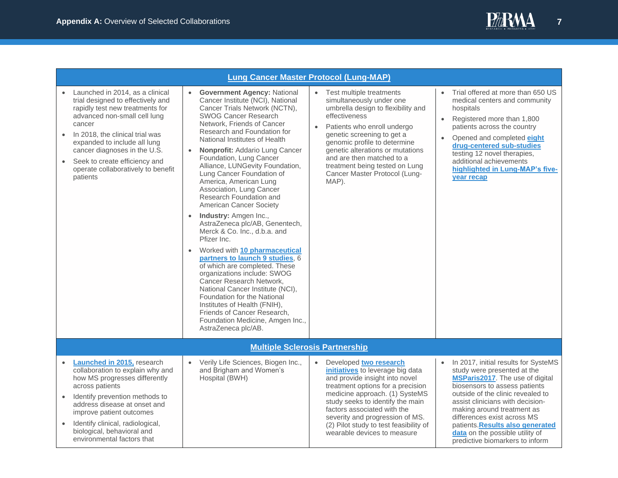

<span id="page-6-1"></span><span id="page-6-0"></span>

|                                                                                                                                                                                                                                                                                                                                                                   | <b>Lung Cancer Master Protocol (Lung-MAP)</b>                                                                                                                                                                                                                                                                                                                                                                                                                                                                                                                                                                                                                                                                                                                                                                                                                                                                                                                                  |                                                                                                                                                                                                                                                                                                                                                                      |                                                                                                                                                                                                                                                                                                                                                                                         |
|-------------------------------------------------------------------------------------------------------------------------------------------------------------------------------------------------------------------------------------------------------------------------------------------------------------------------------------------------------------------|--------------------------------------------------------------------------------------------------------------------------------------------------------------------------------------------------------------------------------------------------------------------------------------------------------------------------------------------------------------------------------------------------------------------------------------------------------------------------------------------------------------------------------------------------------------------------------------------------------------------------------------------------------------------------------------------------------------------------------------------------------------------------------------------------------------------------------------------------------------------------------------------------------------------------------------------------------------------------------|----------------------------------------------------------------------------------------------------------------------------------------------------------------------------------------------------------------------------------------------------------------------------------------------------------------------------------------------------------------------|-----------------------------------------------------------------------------------------------------------------------------------------------------------------------------------------------------------------------------------------------------------------------------------------------------------------------------------------------------------------------------------------|
| Launched in 2014, as a clinical<br>trial designed to effectively and<br>rapidly test new treatments for<br>advanced non-small cell lung<br>cancer<br>In 2018, the clinical trial was<br>$\bullet$<br>expanded to include all lung<br>cancer diagnoses in the U.S.<br>Seek to create efficiency and<br>$\bullet$<br>operate collaboratively to benefit<br>patients | <b>Government Agency: National</b><br>Cancer Institute (NCI), National<br>Cancer Trials Network (NCTN),<br><b>SWOG Cancer Research</b><br>Network. Friends of Cancer<br>Research and Foundation for<br>National Institutes of Health<br>Nonprofit: Addario Lung Cancer<br>Foundation, Lung Cancer<br>Alliance, LUNGevity Foundation,<br>Lung Cancer Foundation of<br>America, American Lung<br>Association, Lung Cancer<br>Research Foundation and<br>American Cancer Society<br>Industry: Amgen Inc.,<br>$\bullet$<br>AstraZeneca plc/AB, Genentech,<br>Merck & Co. Inc., d.b.a. and<br>Pfizer Inc.<br>Worked with 10 pharmaceutical<br>$\bullet$<br>partners to launch 9 studies, 6<br>of which are completed. These<br>organizations include: SWOG<br>Cancer Research Network,<br>National Cancer Institute (NCI),<br>Foundation for the National<br>Institutes of Health (FNIH),<br>Friends of Cancer Research,<br>Foundation Medicine, Amgen Inc.,<br>AstraZeneca plc/AB. | • Test multiple treatments<br>simultaneously under one<br>umbrella design to flexibility and<br>effectiveness<br>Patients who enroll undergo<br>$\bullet$<br>genetic screening to get a<br>genomic profile to determine<br>genetic alterations or mutations<br>and are then matched to a<br>treatment being tested on Lung<br>Cancer Master Protocol (Lung-<br>MAP). | Trial offered at more than 650 US<br>medical centers and community<br>hospitals<br>Registered more than 1,800<br>$\bullet$<br>patients across the country<br>Opened and completed eight<br>drug-centered sub-studies<br>testing 12 novel therapies,<br>additional achievements<br>highlighted in Lung-MAP's five-<br><b>year recap</b>                                                  |
|                                                                                                                                                                                                                                                                                                                                                                   | <b>Multiple Sclerosis Partnership</b>                                                                                                                                                                                                                                                                                                                                                                                                                                                                                                                                                                                                                                                                                                                                                                                                                                                                                                                                          |                                                                                                                                                                                                                                                                                                                                                                      |                                                                                                                                                                                                                                                                                                                                                                                         |
| Launched in 2015, research<br>collaboration to explain why and<br>how MS progresses differently<br>across patients<br>Identify prevention methods to<br>$\bullet$<br>address disease at onset and<br>improve patient outcomes<br>Identify clinical, radiological,<br>$\bullet$<br>biological, behavioral and<br>environmental factors that                        | • Verily Life Sciences, Biogen Inc.,<br>and Brigham and Women's<br>Hospital (BWH)                                                                                                                                                                                                                                                                                                                                                                                                                                                                                                                                                                                                                                                                                                                                                                                                                                                                                              | Developed two research<br>$\bullet$<br>initiatives to leverage big data<br>and provide insight into novel<br>treatment options for a precision<br>medicine approach. (1) SysteMS<br>study seeks to identify the main<br>factors associated with the<br>severity and progression of MS.<br>(2) Pilot study to test feasibility of<br>wearable devices to measure      | In 2017, initial results for SysteMS<br>study were presented at the<br>MSParis2017. The use of digital<br>biosensors to assess patients<br>outside of the clinic revealed to<br>assist clinicians with decision-<br>making around treatment as<br>differences exist across MS<br>patients. Results also generated<br>data on the possible utility of<br>predictive biomarkers to inform |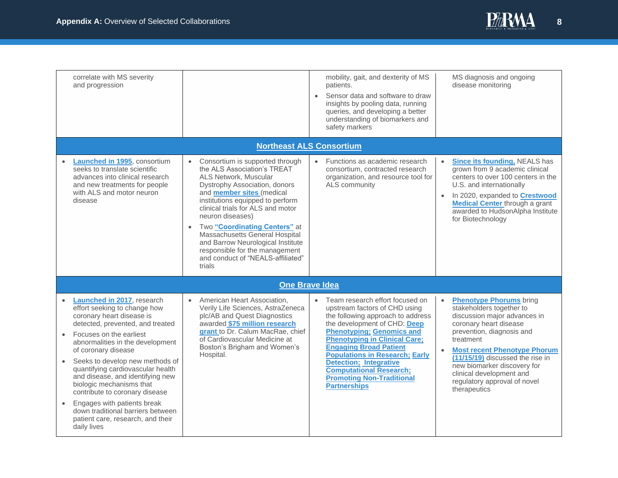

<span id="page-7-1"></span><span id="page-7-0"></span>

| correlate with MS severity<br>and progression                                                                                                                                                                                                                                                                                                                                                                                                                                                                                                 |                                                                                                                                                                                                                                                                                                                                                                                                                                                          | mobility, gait, and dexterity of MS<br>patients.<br>Sensor data and software to draw<br>$\bullet$<br>insights by pooling data, running<br>queries, and developing a better<br>understanding of biomarkers and<br>safety markers                                                                                                                                                                                             | MS diagnosis and ongoing<br>disease monitoring                                                                                                                                                                                                                                                                                                                                 |
|-----------------------------------------------------------------------------------------------------------------------------------------------------------------------------------------------------------------------------------------------------------------------------------------------------------------------------------------------------------------------------------------------------------------------------------------------------------------------------------------------------------------------------------------------|----------------------------------------------------------------------------------------------------------------------------------------------------------------------------------------------------------------------------------------------------------------------------------------------------------------------------------------------------------------------------------------------------------------------------------------------------------|-----------------------------------------------------------------------------------------------------------------------------------------------------------------------------------------------------------------------------------------------------------------------------------------------------------------------------------------------------------------------------------------------------------------------------|--------------------------------------------------------------------------------------------------------------------------------------------------------------------------------------------------------------------------------------------------------------------------------------------------------------------------------------------------------------------------------|
|                                                                                                                                                                                                                                                                                                                                                                                                                                                                                                                                               |                                                                                                                                                                                                                                                                                                                                                                                                                                                          | <b>Northeast ALS Consortium</b>                                                                                                                                                                                                                                                                                                                                                                                             |                                                                                                                                                                                                                                                                                                                                                                                |
| <b>Launched in 1995</b> , consortium<br>seeks to translate scientific<br>advances into clinical research<br>and new treatments for people<br>with ALS and motor neuron<br>disease                                                                                                                                                                                                                                                                                                                                                             | Consortium is supported through<br>the ALS Association's TREAT<br>ALS Network, Muscular<br>Dystrophy Association, donors<br>and member sites (medical<br>institutions equipped to perform<br>clinical trials for ALS and motor<br>neuron diseases)<br>Two "Coordinating Centers" at<br>$\bullet$<br>Massachusetts General Hospital<br>and Barrow Neurological Institute<br>responsible for the management<br>and conduct of "NEALS-affiliated"<br>trials | • Functions as academic research<br>consortium, contracted research<br>organization, and resource tool for<br>ALS community                                                                                                                                                                                                                                                                                                 | <b>Since its founding, NEALS has</b><br>$\bullet$<br>grown from 9 academic clinical<br>centers to over 100 centers in the<br>U.S. and internationally<br>In 2020, expanded to Crestwood<br><b>Medical Center through a grant</b><br>awarded to HudsonAlpha Institute<br>for Biotechnology                                                                                      |
|                                                                                                                                                                                                                                                                                                                                                                                                                                                                                                                                               | <b>One Brave Idea</b>                                                                                                                                                                                                                                                                                                                                                                                                                                    |                                                                                                                                                                                                                                                                                                                                                                                                                             |                                                                                                                                                                                                                                                                                                                                                                                |
| Launched in 2017, research<br>effort seeking to change how<br>coronary heart disease is<br>detected, prevented, and treated<br>Focuses on the earliest<br>$\bullet$<br>abnormalities in the development<br>of coronary disease<br>Seeks to develop new methods of<br>quantifying cardiovascular health<br>and disease, and identifying new<br>biologic mechanisms that<br>contribute to coronary disease<br>Engages with patients break<br>$\bullet$<br>down traditional barriers between<br>patient care, research, and their<br>daily lives | American Heart Association,<br>$\bullet$<br>Verily Life Sciences, AstraZeneca<br>plc/AB and Quest Diagnostics<br>awarded \$75 million research<br>grant to Dr. Calum MacRae, chief<br>of Cardiovascular Medicine at<br>Boston's Brigham and Women's<br>Hospital.                                                                                                                                                                                         | • Team research effort focused on<br>upstream factors of CHD using<br>the following approach to address<br>the development of CHD: Deep<br><b>Phenotyping: Genomics and</b><br><b>Phenotyping in Clinical Care;</b><br><b>Engaging Broad Patient</b><br><b>Populations in Research; Early</b><br><b>Detection; Integrative</b><br><b>Computational Research;</b><br><b>Promoting Non-Traditional</b><br><b>Partnerships</b> | <b>Phenotype Phorums</b> bring<br>$\bullet$<br>stakeholders together to<br>discussion major advances in<br>coronary heart disease<br>prevention, diagnosis and<br>treatment<br><b>Most recent Phenotype Phorum</b><br>$\bullet$<br>(11/15/19) discussed the rise in<br>new biomarker discovery for<br>clinical development and<br>regulatory approval of novel<br>therapeutics |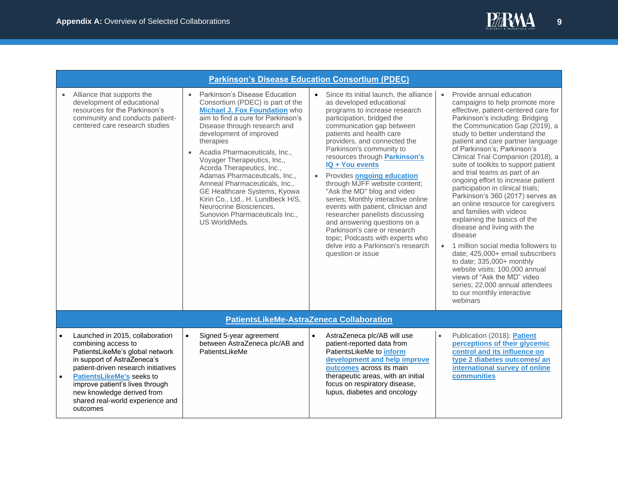

<span id="page-8-0"></span>

|                        | <b>Parkinson's Disease Education Consortium (PDEC)</b>                                                                                                                                                                                                                                                               |                        |                                                                                                                                                                                                                                                                                                                                                                                                                                                                                                                                     |                        |                                                                                                                                                                                                                                                                                                                                                                                                                                                                                                                                                                                                                                                                                              |                        |                                                                                                                                                                                                                                                                                                                                                                                                                                                                                                                                                                                                                                                                                                                                                                                                                                                                                                               |
|------------------------|----------------------------------------------------------------------------------------------------------------------------------------------------------------------------------------------------------------------------------------------------------------------------------------------------------------------|------------------------|-------------------------------------------------------------------------------------------------------------------------------------------------------------------------------------------------------------------------------------------------------------------------------------------------------------------------------------------------------------------------------------------------------------------------------------------------------------------------------------------------------------------------------------|------------------------|----------------------------------------------------------------------------------------------------------------------------------------------------------------------------------------------------------------------------------------------------------------------------------------------------------------------------------------------------------------------------------------------------------------------------------------------------------------------------------------------------------------------------------------------------------------------------------------------------------------------------------------------------------------------------------------------|------------------------|---------------------------------------------------------------------------------------------------------------------------------------------------------------------------------------------------------------------------------------------------------------------------------------------------------------------------------------------------------------------------------------------------------------------------------------------------------------------------------------------------------------------------------------------------------------------------------------------------------------------------------------------------------------------------------------------------------------------------------------------------------------------------------------------------------------------------------------------------------------------------------------------------------------|
|                        | Alliance that supports the<br>development of educational<br>resources for the Parkinson's<br>community and conducts patient-<br>centered care research studies                                                                                                                                                       | $\bullet$<br>$\bullet$ | Parkinson's Disease Education<br>Consortium (PDEC) is part of the<br>Michael J. Fox Foundation who<br>aim to find a cure for Parkinson's<br>Disease through research and<br>development of improved<br>therapies<br>Acadia Pharmaceuticals, Inc.,<br>Voyager Therapeutics, Inc.,<br>Acorda Therapeutics, Inc.,<br>Adamas Pharmaceuticals, Inc.,<br>Amneal Pharmaceuticals, Inc.,<br>GE Healthcare Systems, Kyowa<br>Kirin Co., Ltd., H. Lundbeck H/S,<br>Neurocrine Biosciences.<br>Sunovion Pharmaceuticals Inc.,<br>US WorldMeds. | $\bullet$<br>$\bullet$ | Since its initial launch, the alliance<br>as developed educational<br>programs to increase research<br>participation, bridged the<br>communication gap between<br>patients and health care<br>providers, and connected the<br>Parkinson's community to<br>resources through <b>Parkinson's</b><br>IQ + You events<br>Provides ongoing education<br>through MJFF website content;<br>"Ask the MD" blog and video<br>series; Monthly interactive online<br>events with patient, clinician and<br>researcher panelists discussing<br>and answering questions on a<br>Parkinson's care or research<br>topic; Podcasts with experts who<br>delve into a Parkinson's research<br>question or issue | $\bullet$<br>$\bullet$ | Provide annual education<br>campaigns to help promote more<br>effective, patient-centered care for<br>Parkinson's including: Bridging<br>the Communication Gap (2019), a<br>study to better understand the<br>patient and care partner language<br>of Parkinson's; Parkinson's<br>Clinical Trial Companion (2018), a<br>suite of toolkits to support patient<br>and trial teams as part of an<br>ongoing effort to increase patient<br>participation in clinical trials;<br>Parkinson's 360 (2017) serves as<br>an online resource for caregivers<br>and families with videos<br>explaining the basics of the<br>disease and living with the<br>disease<br>1 million social media followers to<br>date; 425,000+ email subscribers<br>to date; 335,000+ monthly<br>website visits; 100,000 annual<br>views of "Ask the MD" video<br>series; 22,000 annual attendees<br>to our monthly interactive<br>webinars |
|                        |                                                                                                                                                                                                                                                                                                                      |                        | PatientsLikeMe-AstraZeneca Collaboration                                                                                                                                                                                                                                                                                                                                                                                                                                                                                            |                        |                                                                                                                                                                                                                                                                                                                                                                                                                                                                                                                                                                                                                                                                                              |                        |                                                                                                                                                                                                                                                                                                                                                                                                                                                                                                                                                                                                                                                                                                                                                                                                                                                                                                               |
| $\bullet$<br>$\bullet$ | Launched in 2015, collaboration<br>combining access to<br>PatientsLikeMe's global network<br>in support of AstraZeneca's<br>patient-driven research initiatives<br><b>PatientsLikeMe's seeks to</b><br>improve patient's lives through<br>new knowledge derived from<br>shared real-world experience and<br>outcomes | $\bullet$              | Signed 5-year agreement<br>between AstraZeneca plc/AB and<br>PatientsLikeMe                                                                                                                                                                                                                                                                                                                                                                                                                                                         | $\bullet$              | AstraZeneca plc/AB will use<br>patient-reported data from<br>PatientsLikeMe to <b>inform</b><br>development and help improve<br>outcomes across its main<br>therapeutic areas, with an initial<br>focus on respiratory disease,<br>lupus, diabetes and oncology                                                                                                                                                                                                                                                                                                                                                                                                                              | $\bullet$              | Publication (2018): Patient<br>perceptions of their glycemic<br>control and its influence on<br>type 2 diabetes outcomes/ an<br>international survey of online<br>communities                                                                                                                                                                                                                                                                                                                                                                                                                                                                                                                                                                                                                                                                                                                                 |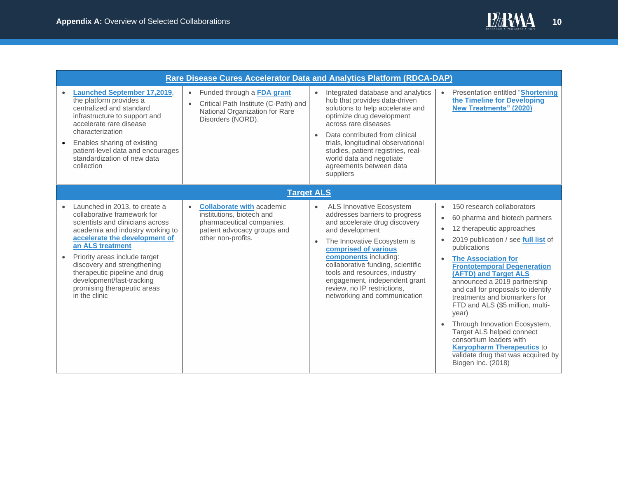

<span id="page-9-1"></span><span id="page-9-0"></span>

|                                                                                                                                                                                                                                                                                                                                                                                      |                                                                                                                                                              | <b>Rare Disease Cures Accelerator Data and Analytics Platform (RDCA-DAP)</b>                                                                                                                                                                                                                                                                                                                   |                                                                                                                                                                                                                                                                                                                                                                                                                                                                                                                                                                                                                       |
|--------------------------------------------------------------------------------------------------------------------------------------------------------------------------------------------------------------------------------------------------------------------------------------------------------------------------------------------------------------------------------------|--------------------------------------------------------------------------------------------------------------------------------------------------------------|------------------------------------------------------------------------------------------------------------------------------------------------------------------------------------------------------------------------------------------------------------------------------------------------------------------------------------------------------------------------------------------------|-----------------------------------------------------------------------------------------------------------------------------------------------------------------------------------------------------------------------------------------------------------------------------------------------------------------------------------------------------------------------------------------------------------------------------------------------------------------------------------------------------------------------------------------------------------------------------------------------------------------------|
| <b>Launched September 17,2019,</b><br>the platform provides a<br>centralized and standard<br>infrastructure to support and<br>accelerate rare disease<br>characterization<br>Enables sharing of existing<br>$\bullet$<br>patient-level data and encourages<br>standardization of new data<br>collection                                                                              | Funded through a FDA grant<br>$\bullet$<br>Critical Path Institute (C-Path) and<br>$\bullet$<br>National Organization for Rare<br>Disorders (NORD).          | Integrated database and analytics<br>$\bullet$<br>hub that provides data-driven<br>solutions to help accelerate and<br>optimize drug development<br>across rare diseases<br>Data contributed from clinical<br>$\bullet$<br>trials, longitudinal observational<br>studies, patient registries, real-<br>world data and negotiate<br>agreements between data<br>suppliers                        | Presentation entitled "Shortening<br>the Timeline for Developing<br><b>New Treatments" (2020)</b>                                                                                                                                                                                                                                                                                                                                                                                                                                                                                                                     |
|                                                                                                                                                                                                                                                                                                                                                                                      |                                                                                                                                                              | <b>Target ALS</b>                                                                                                                                                                                                                                                                                                                                                                              |                                                                                                                                                                                                                                                                                                                                                                                                                                                                                                                                                                                                                       |
| Launched in 2013, to create a<br>collaborative framework for<br>scientists and clinicians across<br>academia and industry working to<br>accelerate the development of<br>an ALS treatment<br>Priority areas include target<br>$\bullet$<br>discovery and strengthening<br>therapeutic pipeline and drug<br>development/fast-tracking<br>promising therapeutic areas<br>in the clinic | <b>Collaborate with academic</b><br>$\bullet$<br>institutions, biotech and<br>pharmaceutical companies,<br>patient advocacy groups and<br>other non-profits. | ALS Innovative Ecosystem<br>$\bullet$<br>addresses barriers to progress<br>and accelerate drug discovery<br>and development<br>The Innovative Ecosystem is<br>$\bullet$<br>comprised of various<br>components including:<br>collaborative funding, scientific<br>tools and resources, industry<br>engagement, independent grant<br>review, no IP restrictions,<br>networking and communication | 150 research collaborators<br>$\bullet$<br>60 pharma and biotech partners<br>$\bullet$<br>12 therapeutic approaches<br>2019 publication / see full list of<br>publications<br><b>The Association for</b><br><b>Frontotemporal Degeneration</b><br>(AFTD) and Target ALS<br>announced a 2019 partnership<br>and call for proposals to identify<br>treatments and biomarkers for<br>FTD and ALS (\$5 million, multi-<br>year)<br>Through Innovation Ecosystem,<br>Target ALS helped connect<br>consortium leaders with<br><b>Karyopharm Therapeutics to</b><br>validate drug that was acquired by<br>Biogen Inc. (2018) |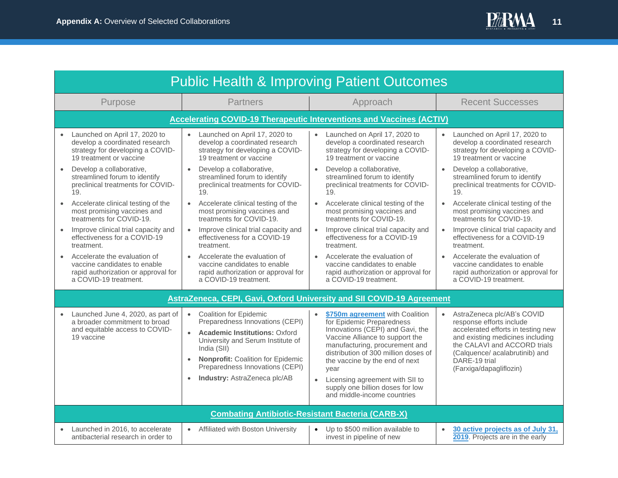<span id="page-10-3"></span><span id="page-10-2"></span><span id="page-10-1"></span><span id="page-10-0"></span>

| <b>Public Health &amp; Improving Patient Outcomes</b>                                                                          |                                                                                                                                                                                                                                                                                                             |                                                                                                                                                                                                                                                                                                                                                                            |                                                                                                                                                                                                                                                             |  |  |
|--------------------------------------------------------------------------------------------------------------------------------|-------------------------------------------------------------------------------------------------------------------------------------------------------------------------------------------------------------------------------------------------------------------------------------------------------------|----------------------------------------------------------------------------------------------------------------------------------------------------------------------------------------------------------------------------------------------------------------------------------------------------------------------------------------------------------------------------|-------------------------------------------------------------------------------------------------------------------------------------------------------------------------------------------------------------------------------------------------------------|--|--|
| Purpose                                                                                                                        | <b>Partners</b>                                                                                                                                                                                                                                                                                             | Approach                                                                                                                                                                                                                                                                                                                                                                   | <b>Recent Successes</b>                                                                                                                                                                                                                                     |  |  |
|                                                                                                                                | <b>Accelerating COVID-19 Therapeutic Interventions and Vaccines (ACTIV)</b>                                                                                                                                                                                                                                 |                                                                                                                                                                                                                                                                                                                                                                            |                                                                                                                                                                                                                                                             |  |  |
| Launched on April 17, 2020 to<br>develop a coordinated research<br>strategy for developing a COVID-<br>19 treatment or vaccine | Launched on April 17, 2020 to<br>develop a coordinated research<br>strategy for developing a COVID-<br>19 treatment or vaccine                                                                                                                                                                              | • Launched on April 17, 2020 to<br>develop a coordinated research<br>strategy for developing a COVID-<br>19 treatment or vaccine                                                                                                                                                                                                                                           | Launched on April 17, 2020 to<br>develop a coordinated research<br>strategy for developing a COVID-<br>19 treatment or vaccine                                                                                                                              |  |  |
| Develop a collaborative,<br>$\bullet$<br>streamlined forum to identify<br>preclinical treatments for COVID-<br>19.             | Develop a collaborative,<br>streamlined forum to identify<br>preclinical treatments for COVID-<br>19.                                                                                                                                                                                                       | Develop a collaborative,<br>$\bullet$<br>streamlined forum to identify<br>preclinical treatments for COVID-<br>19.                                                                                                                                                                                                                                                         | Develop a collaborative,<br>$\bullet$<br>streamlined forum to identify<br>preclinical treatments for COVID-<br>19 <sub>1</sub>                                                                                                                              |  |  |
| Accelerate clinical testing of the<br>$\bullet$<br>most promising vaccines and<br>treatments for COVID-19.                     | Accelerate clinical testing of the<br>$\bullet$<br>most promising vaccines and<br>treatments for COVID-19.                                                                                                                                                                                                  | Accelerate clinical testing of the<br>$\bullet$<br>most promising vaccines and<br>treatments for COVID-19.                                                                                                                                                                                                                                                                 | Accelerate clinical testing of the<br>$\bullet$<br>most promising vaccines and<br>treatments for COVID-19.                                                                                                                                                  |  |  |
| Improve clinical trial capacity and<br>effectiveness for a COVID-19<br>treatment.                                              | Improve clinical trial capacity and<br>effectiveness for a COVID-19<br>treatment.                                                                                                                                                                                                                           | Improve clinical trial capacity and<br>effectiveness for a COVID-19<br>treatment.                                                                                                                                                                                                                                                                                          | Improve clinical trial capacity and<br>effectiveness for a COVID-19<br>treatment.                                                                                                                                                                           |  |  |
| Accelerate the evaluation of<br>vaccine candidates to enable<br>rapid authorization or approval for<br>a COVID-19 treatment.   | Accelerate the evaluation of<br>$\bullet$<br>vaccine candidates to enable<br>rapid authorization or approval for<br>a COVID-19 treatment.                                                                                                                                                                   | Accelerate the evaluation of<br>$\bullet$<br>vaccine candidates to enable<br>rapid authorization or approval for<br>a COVID-19 treatment.                                                                                                                                                                                                                                  | Accelerate the evaluation of<br>$\bullet$<br>vaccine candidates to enable<br>rapid authorization or approval for<br>a COVID-19 treatment.                                                                                                                   |  |  |
|                                                                                                                                | AstraZeneca, CEPI, Gavi, Oxford University and SII COVID-19 Agreement                                                                                                                                                                                                                                       |                                                                                                                                                                                                                                                                                                                                                                            |                                                                                                                                                                                                                                                             |  |  |
| Launched June 4, 2020, as part of<br>a broader commitment to broad<br>and equitable access to COVID-<br>19 vaccine             | <b>Coalition for Epidemic</b><br>$\bullet$<br>Preparedness Innovations (CEPI)<br><b>Academic Institutions: Oxford</b><br>$\bullet$<br>University and Serum Institute of<br>India (SII)<br>Nonprofit: Coalition for Epidemic<br>Preparedness Innovations (CEPI)<br>Industry: AstraZeneca plc/AB<br>$\bullet$ | \$750m agreement with Coalition<br>$\bullet$<br>for Epidemic Preparedness<br>Innovations (CEPI) and Gavi, the<br>Vaccine Alliance to support the<br>manufacturing, procurement and<br>distribution of 300 million doses of<br>the vaccine by the end of next<br>year<br>Licensing agreement with SII to<br>supply one billion doses for low<br>and middle-income countries | AstraZeneca plc/AB's COVID<br>$\bullet$<br>response efforts include<br>accelerated efforts in testing new<br>and existing medicines including<br>the CALAVI and ACCORD trials<br>(Calquence/ acalabrutinib) and<br>DARE-19 trial<br>(Farxiga/dapagliflozin) |  |  |
|                                                                                                                                | <b>Combating Antibiotic-Resistant Bacteria (CARB-X)</b>                                                                                                                                                                                                                                                     |                                                                                                                                                                                                                                                                                                                                                                            |                                                                                                                                                                                                                                                             |  |  |
| Launched in 2016, to accelerate<br>$\bullet$<br>antibacterial research in order to                                             | • Affiliated with Boston University                                                                                                                                                                                                                                                                         | Up to \$500 million available to<br>$\bullet$<br>invest in pipeline of new                                                                                                                                                                                                                                                                                                 | 30 active projects as of July 31,<br>$\bullet$<br>2019. Projects are in the early                                                                                                                                                                           |  |  |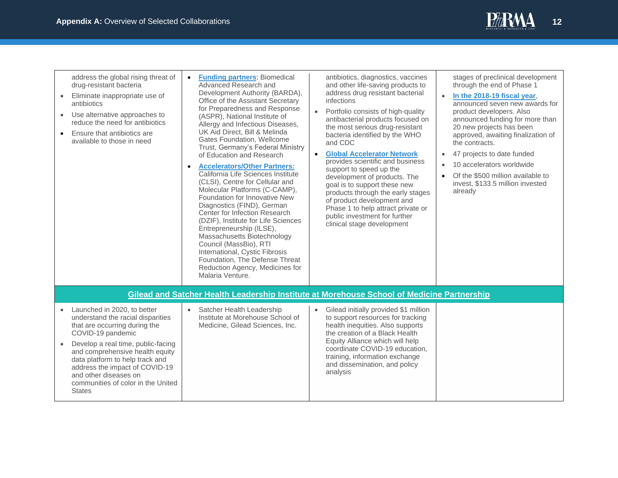

| address the global rising threat of<br>drug-resistant bacteria<br>Eliminate inappropriate use of<br>$\bullet$<br>antibiotics<br>Use alternative approaches to<br>$\bullet$<br>reduce the need for antibiotics<br>Ensure that antibiotics are<br>$\bullet$<br>available to those in need                                                                           | <b>Funding partners: Biomedical</b><br>$\bullet$<br>Advanced Research and<br>Development Authority (BARDA),<br>Office of the Assistant Secretary<br>for Preparedness and Response<br>(ASPR), National Institute of<br>Allergy and Infectious Diseases,<br>UK Aid Direct, Bill & Melinda<br>Gates Foundation, Wellcome<br>Trust, Germany's Federal Ministry<br>of Education and Research<br><b>Accelerators/Other Partners:</b><br>$\bullet$<br>California Life Sciences Institute<br>(CLSI), Centre for Cellular and<br>Molecular Platforms (C-CAMP),<br>Foundation for Innovative New<br>Diagnostics (FIND), German<br>Center for Infection Research<br>(DZIF), Institute for Life Sciences<br>Entrepreneurship (ILSE),<br>Massachusetts Biotechnology<br>Council (MassBio), RTI<br>International, Cystic Fibrosis<br>Foundation, The Defense Threat<br>Reduction Agency, Medicines for<br>Malaria Venture. | antibiotics, diagnostics, vaccines<br>and other life-saving products to<br>address drug resistant bacterial<br>infections<br>Portfolio consists of high-quality<br>$\bullet$<br>antibacterial products focused on<br>the most serious drug-resistant<br>bacteria identified by the WHO<br>and CDC<br><b>Global Accelerator Network</b><br>$\bullet$<br>provides scientific and business<br>support to speed up the<br>development of products. The<br>goal is to support these new<br>products through the early stages<br>of product development and<br>Phase 1 to help attract private or<br>public investment for further<br>clinical stage development | stages of preclinical development<br>through the end of Phase 1<br>In the 2018-19 fiscal year,<br>$\bullet$<br>announced seven new awards for<br>product developers. Also<br>announced funding for more than<br>20 new projects has been<br>approved, awaiting finalization of<br>the contracts.<br>47 projects to date funded<br>$\bullet$<br>10 accelerators worldwide<br>Of the \$500 million available to<br>invest, \$133.5 million invested<br>already |
|-------------------------------------------------------------------------------------------------------------------------------------------------------------------------------------------------------------------------------------------------------------------------------------------------------------------------------------------------------------------|--------------------------------------------------------------------------------------------------------------------------------------------------------------------------------------------------------------------------------------------------------------------------------------------------------------------------------------------------------------------------------------------------------------------------------------------------------------------------------------------------------------------------------------------------------------------------------------------------------------------------------------------------------------------------------------------------------------------------------------------------------------------------------------------------------------------------------------------------------------------------------------------------------------|------------------------------------------------------------------------------------------------------------------------------------------------------------------------------------------------------------------------------------------------------------------------------------------------------------------------------------------------------------------------------------------------------------------------------------------------------------------------------------------------------------------------------------------------------------------------------------------------------------------------------------------------------------|--------------------------------------------------------------------------------------------------------------------------------------------------------------------------------------------------------------------------------------------------------------------------------------------------------------------------------------------------------------------------------------------------------------------------------------------------------------|
|                                                                                                                                                                                                                                                                                                                                                                   |                                                                                                                                                                                                                                                                                                                                                                                                                                                                                                                                                                                                                                                                                                                                                                                                                                                                                                              | Gilead and Satcher Health Leadership Institute at Morehouse School of Medicine Partnership                                                                                                                                                                                                                                                                                                                                                                                                                                                                                                                                                                 |                                                                                                                                                                                                                                                                                                                                                                                                                                                              |
| Launched in 2020, to better<br>understand the racial disparities<br>that are occurring during the<br>COVID-19 pandemic<br>Develop a real time, public-facing<br>$\bullet$<br>and comprehensive health equity<br>data platform to help track and<br>address the impact of COVID-19<br>and other diseases on<br>communities of color in the United<br><b>States</b> | Satcher Health Leadership<br>$\bullet$<br>Institute at Morehouse School of<br>Medicine, Gilead Sciences, Inc.                                                                                                                                                                                                                                                                                                                                                                                                                                                                                                                                                                                                                                                                                                                                                                                                | Gilead initially provided \$1 million<br>$\bullet$<br>to support resources for tracking<br>health inequities. Also supports<br>the creation of a Black Health<br>Equity Alliance which will help<br>coordinate COVID-19 education,<br>training, information exchange<br>and dissemination, and policy<br>analysis                                                                                                                                                                                                                                                                                                                                          |                                                                                                                                                                                                                                                                                                                                                                                                                                                              |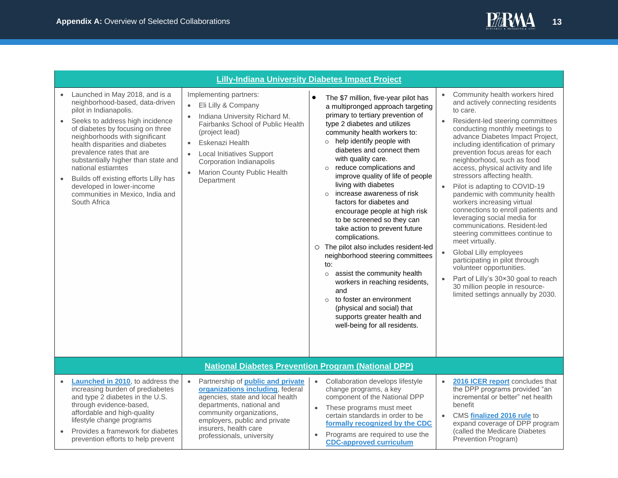

<span id="page-12-1"></span><span id="page-12-0"></span>

|           |                                                                                                                                                                                                                                                                                                                                                                                                                                                             | <b>Lilly-Indiana University Diabetes Impact Project</b>                                                                                                                                                                                                                                                                                                                                                                                  |                                                                                                                                                                                                                                                                                                                                                                                                                                                                                                                                                                                                                                                                                                                                                                                                                                                                                                                                                                                                                                                                                                                                                                                                                                                                                                                                                                                                                                                                                                                                                                                                                       |
|-----------|-------------------------------------------------------------------------------------------------------------------------------------------------------------------------------------------------------------------------------------------------------------------------------------------------------------------------------------------------------------------------------------------------------------------------------------------------------------|------------------------------------------------------------------------------------------------------------------------------------------------------------------------------------------------------------------------------------------------------------------------------------------------------------------------------------------------------------------------------------------------------------------------------------------|-----------------------------------------------------------------------------------------------------------------------------------------------------------------------------------------------------------------------------------------------------------------------------------------------------------------------------------------------------------------------------------------------------------------------------------------------------------------------------------------------------------------------------------------------------------------------------------------------------------------------------------------------------------------------------------------------------------------------------------------------------------------------------------------------------------------------------------------------------------------------------------------------------------------------------------------------------------------------------------------------------------------------------------------------------------------------------------------------------------------------------------------------------------------------------------------------------------------------------------------------------------------------------------------------------------------------------------------------------------------------------------------------------------------------------------------------------------------------------------------------------------------------------------------------------------------------------------------------------------------------|
| $\bullet$ | Launched in May 2018, and is a<br>neighborhood-based, data-driven<br>pilot in Indianapolis.<br>Seeks to address high incidence<br>of diabetes by focusing on three<br>neighborhoods with significant<br>health disparities and diabetes<br>prevalence rates that are<br>substantially higher than state and<br>national estiamtes<br>Builds off existing efforts Lilly has<br>developed in lower-income<br>communities in Mexico, India and<br>South Africa | Implementing partners:<br>$\bullet$<br>Eli Lilly & Company<br>Indiana University Richard M.<br>Fairbanks School of Public Health<br>(project lead)<br>Eskenazi Health<br>$\bullet$<br><b>Local Initiatives Support</b><br>with quality care.<br>Corporation Indianapolis<br>$\circ$<br>Marion County Public Health<br>$\bullet$<br>Department<br>living with diabetes<br>$\Omega$<br>complications.<br>to:<br>$\circ$<br>and<br>$\Omega$ | Community health workers hired<br>The \$7 million, five-year pilot has<br>and actively connecting residents<br>a multipronged approach targeting<br>to care.<br>primary to tertiary prevention of<br>Resident-led steering committees<br>$\bullet$<br>type 2 diabetes and utilizes<br>conducting monthly meetings to<br>community health workers to:<br>advance Diabetes Impact Project,<br>o help identify people with<br>including identification of primary<br>diabetes and connect them<br>prevention focus areas for each<br>neighborhood, such as food<br>reduce complications and<br>access, physical activity and life<br>stressors affecting health.<br>improve quality of life of people<br>Pilot is adapting to COVID-19<br>$\bullet$<br>increase awareness of risk<br>pandemic with community health<br>workers increasing virtual<br>factors for diabetes and<br>connections to enroll patients and<br>encourage people at high risk<br>leveraging social media for<br>to be screened so they can<br>communications. Resident-led<br>take action to prevent future<br>steering committees continue to<br>meet virtually.<br>O The pilot also includes resident-led<br>Global Lilly employees<br>neighborhood steering committees<br>participating in pilot through<br>volunteer opportunities.<br>assist the community health<br>Part of Lilly's 30×30 goal to reach<br>workers in reaching residents,<br>30 million people in resource-<br>limited settings annually by 2030.<br>to foster an environment<br>(physical and social) that<br>supports greater health and<br>well-being for all residents. |
|           |                                                                                                                                                                                                                                                                                                                                                                                                                                                             | <b>National Diabetes Prevention Program (National DPP)</b>                                                                                                                                                                                                                                                                                                                                                                               |                                                                                                                                                                                                                                                                                                                                                                                                                                                                                                                                                                                                                                                                                                                                                                                                                                                                                                                                                                                                                                                                                                                                                                                                                                                                                                                                                                                                                                                                                                                                                                                                                       |
|           | Launched in 2010, to address the<br>increasing burden of prediabetes<br>and type 2 diabetes in the U.S.<br>through evidence-based,<br>affordable and high-quality<br>lifestyle change programs<br>Provides a framework for diabetes<br>prevention efforts to help prevent                                                                                                                                                                                   | Partnership of public and private<br>$\bullet$<br>organizations including, federal<br>change programs, a key<br>agencies, state and local health<br>departments, national and<br>$\bullet$<br>community organizations,<br>employers, public and private<br>insurers, health care<br>$\bullet$<br>professionals, university                                                                                                               | Collaboration develops lifestyle<br>2016 ICER report concludes that<br>$\bullet$<br>the DPP programs provided "an<br>incremental or better" net health<br>component of the National DPP<br>benefit<br>These programs must meet<br>certain standards in order to be<br>CMS finalized 2016 rule to<br>$\bullet$<br>expand coverage of DPP program<br>formally recognized by the CDC<br>(called the Medicare Diabetes<br>Programs are required to use the<br>Prevention Program)<br><b>CDC-approved curriculum</b>                                                                                                                                                                                                                                                                                                                                                                                                                                                                                                                                                                                                                                                                                                                                                                                                                                                                                                                                                                                                                                                                                                       |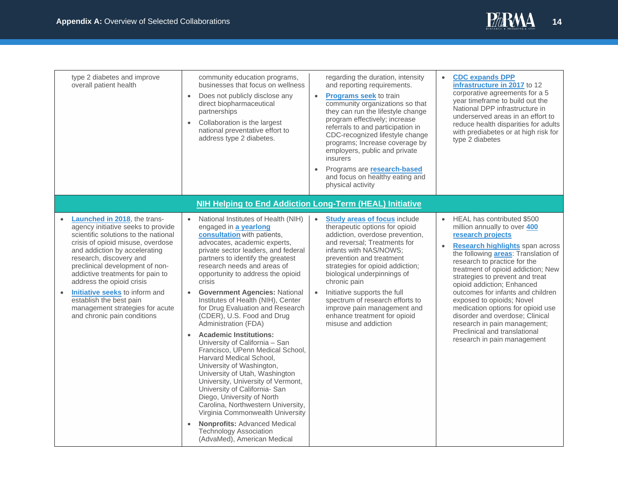

<span id="page-13-0"></span>

| type 2 diabetes and improve<br>overall patient health                                                                                                                                                                                                                                                                                                                                                                                                                           | community education programs,<br>businesses that focus on wellness<br>Does not publicly disclose any<br>$\bullet$<br>direct biopharmaceutical<br>partnerships<br>Collaboration is the largest<br>$\bullet$<br>national preventative effort to<br>address type 2 diabetes.                                                                                                                                                                                                                                                                                                                                                                                                                                                                                                                                                                                                                                                                                                                                | regarding the duration, intensity<br>and reporting requirements.<br><b>Programs seek to train</b><br>$\bullet$<br>community organizations so that<br>they can run the lifestyle change<br>program effectively; increase<br>referrals to and participation in<br>CDC-recognized lifestyle change<br>programs; Increase coverage by<br>employers, public and private<br>insurers<br>Programs are <b>research-based</b><br>and focus on healthy eating and<br>physical activity | <b>CDC expands DPP</b><br>$\bullet$<br>infrastructure in 2017 to 12<br>corporative agreements for a 5<br>year timeframe to build out the<br>National DPP infrastructure in<br>underserved areas in an effort to<br>reduce health disparities for adults<br>with prediabetes or at high risk for<br>type 2 diabetes                                                                                                                                                                                                                                                                  |
|---------------------------------------------------------------------------------------------------------------------------------------------------------------------------------------------------------------------------------------------------------------------------------------------------------------------------------------------------------------------------------------------------------------------------------------------------------------------------------|----------------------------------------------------------------------------------------------------------------------------------------------------------------------------------------------------------------------------------------------------------------------------------------------------------------------------------------------------------------------------------------------------------------------------------------------------------------------------------------------------------------------------------------------------------------------------------------------------------------------------------------------------------------------------------------------------------------------------------------------------------------------------------------------------------------------------------------------------------------------------------------------------------------------------------------------------------------------------------------------------------|------------------------------------------------------------------------------------------------------------------------------------------------------------------------------------------------------------------------------------------------------------------------------------------------------------------------------------------------------------------------------------------------------------------------------------------------------------------------------|-------------------------------------------------------------------------------------------------------------------------------------------------------------------------------------------------------------------------------------------------------------------------------------------------------------------------------------------------------------------------------------------------------------------------------------------------------------------------------------------------------------------------------------------------------------------------------------|
|                                                                                                                                                                                                                                                                                                                                                                                                                                                                                 | <b>NIH Helping to End Addiction Long-Term (HEAL) Initiative</b>                                                                                                                                                                                                                                                                                                                                                                                                                                                                                                                                                                                                                                                                                                                                                                                                                                                                                                                                          |                                                                                                                                                                                                                                                                                                                                                                                                                                                                              |                                                                                                                                                                                                                                                                                                                                                                                                                                                                                                                                                                                     |
| Launched in 2018, the trans-<br>$\bullet$<br>agency initiative seeks to provide<br>scientific solutions to the national<br>crisis of opioid misuse, overdose<br>and addiction by accelerating<br>research, discovery and<br>preclinical development of non-<br>addictive treatments for pain to<br>address the opioid crisis<br><b>Initiative seeks</b> to inform and<br>$\bullet$<br>establish the best pain<br>management strategies for acute<br>and chronic pain conditions | National Institutes of Health (NIH)<br>$\bullet$<br>engaged in a yearlong<br>consultation with patients,<br>advocates, academic experts,<br>private sector leaders, and federal<br>partners to identify the greatest<br>research needs and areas of<br>opportunity to address the opioid<br>crisis<br><b>Government Agencies: National</b><br>$\bullet$<br>Institutes of Health (NIH), Center<br>for Drug Evaluation and Research<br>(CDER), U.S. Food and Drug<br>Administration (FDA)<br><b>Academic Institutions:</b><br>$\bullet$<br>University of California - San<br>Francisco, UPenn Medical School,<br>Harvard Medical School.<br>University of Washington,<br>University of Utah, Washington<br>University, University of Vermont,<br>University of California- San<br>Diego, University of North<br>Carolina, Northwestern University,<br>Virginia Commonwealth University<br><b>Nonprofits: Advanced Medical</b><br>$\bullet$<br><b>Technology Association</b><br>(AdvaMed), American Medical | $\bullet$<br><b>Study areas of focus include</b><br>therapeutic options for opioid<br>addiction, overdose prevention,<br>and reversal; Treatments for<br>infants with NAS/NOWS:<br>prevention and treatment<br>strategies for opioid addiction;<br>biological underpinnings of<br>chronic pain<br>Initiative supports the full<br>$\bullet$<br>spectrum of research efforts to<br>improve pain management and<br>enhance treatment for opioid<br>misuse and addiction        | HEAL has contributed \$500<br>$\bullet$<br>million annually to over 400<br>research projects<br><b>Research highlights</b> span across<br>$\bullet$<br>the following <b>areas</b> : Translation of<br>research to practice for the<br>treatment of opioid addiction; New<br>strategies to prevent and treat<br>opioid addiction; Enhanced<br>outcomes for infants and children<br>exposed to opioids; Novel<br>medication options for opioid use<br>disorder and overdose; Clinical<br>research in pain management;<br>Preclinical and translational<br>research in pain management |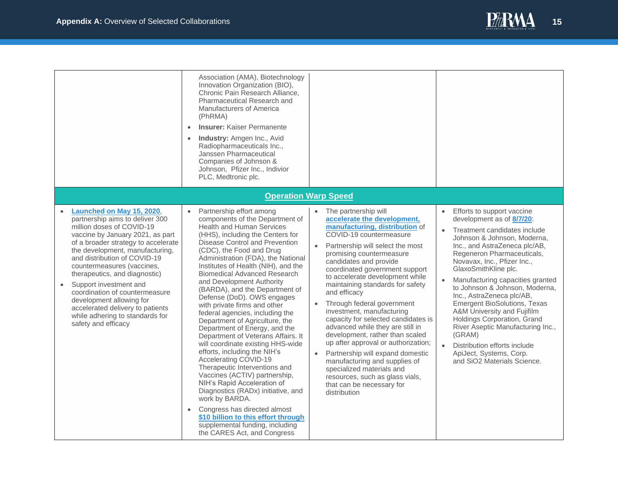

<span id="page-14-0"></span>

|                                                                                                                                                                                                                                                                                                                                                                                                                                                                                                           | Association (AMA), Biotechnology<br>Innovation Organization (BIO),<br>Chronic Pain Research Alliance,<br>Pharmaceutical Research and<br>Manufacturers of America<br>(PhRMA)<br><b>Insurer:</b> Kaiser Permanente<br>$\bullet$<br><b>Industry:</b> Amgen Inc., Avid<br>$\bullet$<br>Radiopharmaceuticals Inc.,<br>Janssen Pharmaceutical<br>Companies of Johnson &<br>Johnson, Pfizer Inc., Indivior<br>PLC, Medtronic plc.                                                                                                                                                                                                                                                                                                                                                                                                                                                                                                                                                                     |                                                                                                                                                                                                                                                                                                                                                                                                                                                                                                                                                                                                                                                                                                                                                                                |                                                                                                                                                                                                                                                                                                                                                                                                                                                                                                                                                                                                            |
|-----------------------------------------------------------------------------------------------------------------------------------------------------------------------------------------------------------------------------------------------------------------------------------------------------------------------------------------------------------------------------------------------------------------------------------------------------------------------------------------------------------|------------------------------------------------------------------------------------------------------------------------------------------------------------------------------------------------------------------------------------------------------------------------------------------------------------------------------------------------------------------------------------------------------------------------------------------------------------------------------------------------------------------------------------------------------------------------------------------------------------------------------------------------------------------------------------------------------------------------------------------------------------------------------------------------------------------------------------------------------------------------------------------------------------------------------------------------------------------------------------------------|--------------------------------------------------------------------------------------------------------------------------------------------------------------------------------------------------------------------------------------------------------------------------------------------------------------------------------------------------------------------------------------------------------------------------------------------------------------------------------------------------------------------------------------------------------------------------------------------------------------------------------------------------------------------------------------------------------------------------------------------------------------------------------|------------------------------------------------------------------------------------------------------------------------------------------------------------------------------------------------------------------------------------------------------------------------------------------------------------------------------------------------------------------------------------------------------------------------------------------------------------------------------------------------------------------------------------------------------------------------------------------------------------|
|                                                                                                                                                                                                                                                                                                                                                                                                                                                                                                           |                                                                                                                                                                                                                                                                                                                                                                                                                                                                                                                                                                                                                                                                                                                                                                                                                                                                                                                                                                                                | <b>Operation Warp Speed</b>                                                                                                                                                                                                                                                                                                                                                                                                                                                                                                                                                                                                                                                                                                                                                    |                                                                                                                                                                                                                                                                                                                                                                                                                                                                                                                                                                                                            |
| Launched on May 15, 2020,<br>partnership aims to deliver 300<br>million doses of COVID-19<br>vaccine by January 2021, as part<br>of a broader strategy to accelerate<br>the development, manufacturing,<br>and distribution of COVID-19<br>countermeasures (vaccines,<br>therapeutics, and diagnostic)<br>Support investment and<br>$\bullet$<br>coordination of countermeasure<br>development allowing for<br>accelerated delivery to patients<br>while adhering to standards for<br>safety and efficacy | Partnership effort among<br>components of the Department of<br><b>Health and Human Services</b><br>(HHS), including the Centers for<br>Disease Control and Prevention<br>(CDC), the Food and Drug<br>Administration (FDA), the National<br>Institutes of Health (NIH), and the<br><b>Biomedical Advanced Research</b><br>and Development Authority<br>(BARDA), and the Department of<br>Defense (DoD). OWS engages<br>with private firms and other<br>federal agencies, including the<br>Department of Agriculture, the<br>Department of Energy, and the<br>Department of Veterans Affairs. It<br>will coordinate existing HHS-wide<br>efforts, including the NIH's<br>Accelerating COVID-19<br>Therapeutic Interventions and<br>Vaccines (ACTIV) partnership,<br>NIH's Rapid Acceleration of<br>Diagnostics (RADx) initiative, and<br>work by BARDA.<br>Congress has directed almost<br>\$10 billion to this effort through<br>supplemental funding, including<br>the CARES Act, and Congress | • The partnership will<br>accelerate the development,<br>manufacturing, distribution of<br>COVID-19 countermeasure<br>Partnership will select the most<br>$\bullet$<br>promising countermeasure<br>candidates and provide<br>coordinated government support<br>to accelerate development while<br>maintaining standards for safety<br>and efficacy<br>Through federal government<br>$\bullet$<br>investment, manufacturing<br>capacity for selected candidates is<br>advanced while they are still in<br>development, rather than scaled<br>up after approval or authorization;<br>Partnership will expand domestic<br>$\bullet$<br>manufacturing and supplies of<br>specialized materials and<br>resources, such as glass vials,<br>that can be necessary for<br>distribution | Efforts to support vaccine<br>development as of 8/7/20:<br>Treatment candidates include<br>$\bullet$<br>Johnson & Johnson, Moderna,<br>Inc., and AstraZeneca plc/AB,<br>Regeneron Pharmaceuticals,<br>Novavax, Inc., Pfizer Inc.,<br>GlaxoSmithKline plc.<br>Manufacturing capacities granted<br>to Johnson & Johnson, Moderna,<br>Inc., AstraZeneca plc/AB,<br><b>Emergent BioSolutions, Texas</b><br>A&M University and Fujifilm<br>Holdings Corporation, Grand<br>River Aseptic Manufacturing Inc.,<br>(GRAM)<br>Distribution efforts include<br>ApiJect, Systems, Corp.<br>and SiO2 Materials Science. |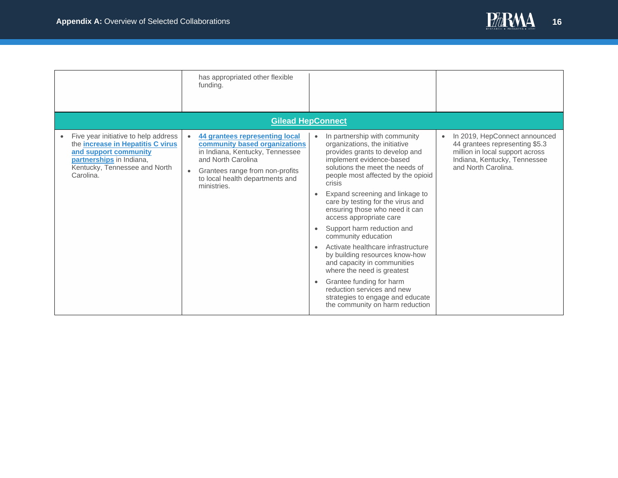

<span id="page-15-0"></span>

|                                                                                                                                                                                     | has appropriated other flexible<br>funding.                                                                                                                                                                   |                        |                                                                                                                                                                                                                                                                                                                                                                                                                                                                                                                                                                                                                                                                                 |           |                                                                                                                                                           |
|-------------------------------------------------------------------------------------------------------------------------------------------------------------------------------------|---------------------------------------------------------------------------------------------------------------------------------------------------------------------------------------------------------------|------------------------|---------------------------------------------------------------------------------------------------------------------------------------------------------------------------------------------------------------------------------------------------------------------------------------------------------------------------------------------------------------------------------------------------------------------------------------------------------------------------------------------------------------------------------------------------------------------------------------------------------------------------------------------------------------------------------|-----------|-----------------------------------------------------------------------------------------------------------------------------------------------------------|
|                                                                                                                                                                                     | <b>Gilead HepConnect</b>                                                                                                                                                                                      |                        |                                                                                                                                                                                                                                                                                                                                                                                                                                                                                                                                                                                                                                                                                 |           |                                                                                                                                                           |
| Five year initiative to help address<br>the <i>increase</i> in Hepatitis C virus<br>and support community<br>partnerships in Indiana,<br>Kentucky, Tennessee and North<br>Carolina. | 44 grantees representing local<br>community based organizations<br>in Indiana, Kentucky, Tennessee<br>and North Carolina<br>Grantees range from non-profits<br>to local health departments and<br>ministries. | $\bullet$<br>$\bullet$ | In partnership with community<br>organizations, the initiative<br>provides grants to develop and<br>implement evidence-based<br>solutions the meet the needs of<br>people most affected by the opioid<br>crisis<br>Expand screening and linkage to<br>care by testing for the virus and<br>ensuring those who need it can<br>access appropriate care<br>Support harm reduction and<br>community education<br>Activate healthcare infrastructure<br>by building resources know-how<br>and capacity in communities<br>where the need is greatest<br>Grantee funding for harm<br>reduction services and new<br>strategies to engage and educate<br>the community on harm reduction | $\bullet$ | In 2019, HepConnect announced<br>44 grantees representing \$5.3<br>million in local support across<br>Indiana, Kentucky, Tennessee<br>and North Carolina. |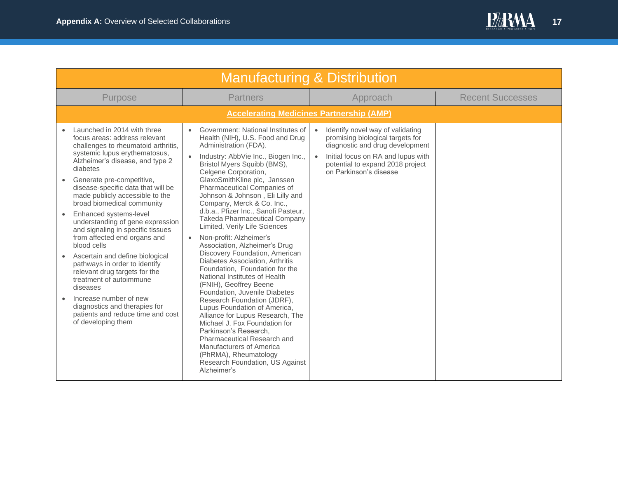

<span id="page-16-1"></span><span id="page-16-0"></span>

| <b>Manufacturing &amp; Distribution</b>                                                                                                                                                                                                                                                                                                                                                                                                                                                                                                                                                                                                                                                                                                     |                                                                                                                                                                                                                                                                                                                                                                                                                                                                                                                                                                                                                                                                                                                                                                                                                                                                                                                                                                                                                                 |                                                                                                                                                                                                                                       |                         |  |  |
|---------------------------------------------------------------------------------------------------------------------------------------------------------------------------------------------------------------------------------------------------------------------------------------------------------------------------------------------------------------------------------------------------------------------------------------------------------------------------------------------------------------------------------------------------------------------------------------------------------------------------------------------------------------------------------------------------------------------------------------------|---------------------------------------------------------------------------------------------------------------------------------------------------------------------------------------------------------------------------------------------------------------------------------------------------------------------------------------------------------------------------------------------------------------------------------------------------------------------------------------------------------------------------------------------------------------------------------------------------------------------------------------------------------------------------------------------------------------------------------------------------------------------------------------------------------------------------------------------------------------------------------------------------------------------------------------------------------------------------------------------------------------------------------|---------------------------------------------------------------------------------------------------------------------------------------------------------------------------------------------------------------------------------------|-------------------------|--|--|
| Purpose                                                                                                                                                                                                                                                                                                                                                                                                                                                                                                                                                                                                                                                                                                                                     | <b>Partners</b>                                                                                                                                                                                                                                                                                                                                                                                                                                                                                                                                                                                                                                                                                                                                                                                                                                                                                                                                                                                                                 | Approach                                                                                                                                                                                                                              | <b>Recent Successes</b> |  |  |
|                                                                                                                                                                                                                                                                                                                                                                                                                                                                                                                                                                                                                                                                                                                                             |                                                                                                                                                                                                                                                                                                                                                                                                                                                                                                                                                                                                                                                                                                                                                                                                                                                                                                                                                                                                                                 | <b>Accelerating Medicines Partnership (AMP)</b>                                                                                                                                                                                       |                         |  |  |
| Launched in 2014 with three<br>focus areas: address relevant<br>challenges to rheumatoid arthritis,<br>systemic lupus erythematosus,<br>Alzheimer's disease, and type 2<br>diabetes<br>Generate pre-competitive,<br>disease-specific data that will be<br>made publicly accessible to the<br>broad biomedical community<br>Enhanced systems-level<br>understanding of gene expression<br>and signaling in specific tissues<br>from affected end organs and<br>blood cells<br>Ascertain and define biological<br>pathways in order to identify<br>relevant drug targets for the<br>treatment of autoimmune<br>diseases<br>Increase number of new<br>diagnostics and therapies for<br>patients and reduce time and cost<br>of developing them | Government: National Institutes of<br>Health (NIH), U.S. Food and Drug<br>Administration (FDA).<br>Industry: AbbVie Inc., Biogen Inc.,<br>Bristol Myers Squibb (BMS),<br>Celgene Corporation,<br>GlaxoSmithKline plc, Janssen<br><b>Pharmaceutical Companies of</b><br>Johnson & Johnson, Eli Lilly and<br>Company, Merck & Co. Inc.,<br>d.b.a., Pfizer Inc., Sanofi Pasteur,<br><b>Takeda Pharmaceutical Company</b><br>Limited, Verily Life Sciences<br>Non-profit: Alzheimer's<br>Association, Alzheimer's Drug<br>Discovery Foundation, American<br>Diabetes Association, Arthritis<br>Foundation, Foundation for the<br>National Institutes of Health<br>(FNIH), Geoffrey Beene<br>Foundation, Juvenile Diabetes<br>Research Foundation (JDRF),<br>Lupus Foundation of America,<br>Alliance for Lupus Research, The<br>Michael J. Fox Foundation for<br>Parkinson's Research,<br>Pharmaceutical Research and<br><b>Manufacturers of America</b><br>(PhRMA), Rheumatology<br>Research Foundation, US Against<br>Alzheimer's | Identify novel way of validating<br>$\bullet$<br>promising biological targets for<br>diagnostic and drug development<br>Initial focus on RA and lupus with<br>$\bullet$<br>potential to expand 2018 project<br>on Parkinson's disease |                         |  |  |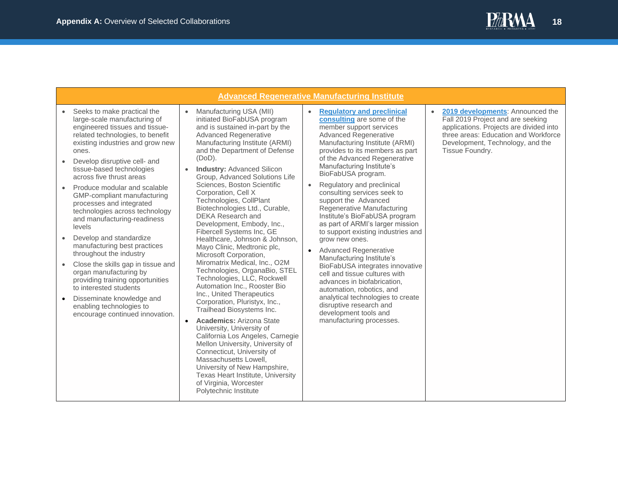<span id="page-17-0"></span>

|                                                                                                                                                                                                                                                                                                                                                                                                                                                                                                                                                                                                                                                                                                                                                                            | <b>Advanced Regenerative Manufacturing Institute</b>                                                                                                                                                                                                                                                                                                                                                                                                                                                                                                                                                                                                                                                                                                                                                                                                                                                                                                                                                                                                                                                                                     |                                                                                                                                                                                                                                                                                                                                                                                                                                                                                                                                                                                                                                                                                                                                                                                                                                                                                             |                                                                                                                                                                                                                              |  |  |  |
|----------------------------------------------------------------------------------------------------------------------------------------------------------------------------------------------------------------------------------------------------------------------------------------------------------------------------------------------------------------------------------------------------------------------------------------------------------------------------------------------------------------------------------------------------------------------------------------------------------------------------------------------------------------------------------------------------------------------------------------------------------------------------|------------------------------------------------------------------------------------------------------------------------------------------------------------------------------------------------------------------------------------------------------------------------------------------------------------------------------------------------------------------------------------------------------------------------------------------------------------------------------------------------------------------------------------------------------------------------------------------------------------------------------------------------------------------------------------------------------------------------------------------------------------------------------------------------------------------------------------------------------------------------------------------------------------------------------------------------------------------------------------------------------------------------------------------------------------------------------------------------------------------------------------------|---------------------------------------------------------------------------------------------------------------------------------------------------------------------------------------------------------------------------------------------------------------------------------------------------------------------------------------------------------------------------------------------------------------------------------------------------------------------------------------------------------------------------------------------------------------------------------------------------------------------------------------------------------------------------------------------------------------------------------------------------------------------------------------------------------------------------------------------------------------------------------------------|------------------------------------------------------------------------------------------------------------------------------------------------------------------------------------------------------------------------------|--|--|--|
| Seeks to make practical the<br>large-scale manufacturing of<br>engineered tissues and tissue-<br>related technologies, to benefit<br>existing industries and grow new<br>ones.<br>Develop disruptive cell- and<br>tissue-based technologies<br>across five thrust areas<br>Produce modular and scalable<br>GMP-compliant manufacturing<br>processes and integrated<br>technologies across technology<br>and manufacturing-readiness<br>levels<br>Develop and standardize<br>manufacturing best practices<br>throughout the industry<br>Close the skills gap in tissue and<br>organ manufacturing by<br>providing training opportunities<br>to interested students<br>Disseminate knowledge and<br>$\bullet$<br>enabling technologies to<br>encourage continued innovation. | Manufacturing USA (MII)<br>initiated BioFabUSA program<br>and is sustained in-part by the<br><b>Advanced Regenerative</b><br>Manufacturing Institute (ARMI)<br>and the Department of Defense<br>$(DoD)$ .<br><b>Industry: Advanced Silicon</b><br>Group, Advanced Solutions Life<br>Sciences, Boston Scientific<br>Corporation, Cell X<br>Technologies, CollPlant<br>Biotechnologies Ltd., Curable,<br><b>DEKA Research and</b><br>Development, Embody, Inc.,<br>Fibercell Systems Inc, GE<br>Healthcare, Johnson & Johnson,<br>Mayo Clinic, Medtronic plc,<br>Microsoft Corporation,<br>Miromatrix Medical, Inc., O2M<br>Technologies, OrganaBio, STEL<br>Technologies, LLC, Rockwell<br>Automation Inc., Rooster Bio<br>Inc., United Therapeutics<br>Corporation, Pluristyx, Inc.,<br>Trailhead Biosystems Inc.<br><b>Academics: Arizona State</b><br>University, University of<br>California Los Angeles, Carnegie<br>Mellon University, University of<br>Connecticut, University of<br>Massachusetts Lowell.<br>University of New Hampshire,<br>Texas Heart Institute, University<br>of Virginia, Worcester<br>Polytechnic Institute | <b>Regulatory and preclinical</b><br>$\bullet$<br>consulting are some of the<br>member support services<br><b>Advanced Regenerative</b><br>Manufacturing Institute (ARMI)<br>provides to its members as part<br>of the Advanced Regenerative<br>Manufacturing Institute's<br>BioFabUSA program.<br>Regulatory and preclinical<br>$\bullet$<br>consulting services seek to<br>support the Advanced<br>Regenerative Manufacturing<br>Institute's BioFabUSA program<br>as part of ARMI's larger mission<br>to support existing industries and<br>grow new ones.<br><b>Advanced Regenerative</b><br>$\bullet$<br>Manufacturing Institute's<br>BioFabUSA integrates innovative<br>cell and tissue cultures with<br>advances in biofabrication,<br>automation, robotics, and<br>analytical technologies to create<br>disruptive research and<br>development tools and<br>manufacturing processes. | 2019 developments: Announced the<br>$\bullet$<br>Fall 2019 Project and are seeking<br>applications. Projects are divided into<br>three areas: Education and Workforce<br>Development, Technology, and the<br>Tissue Foundry. |  |  |  |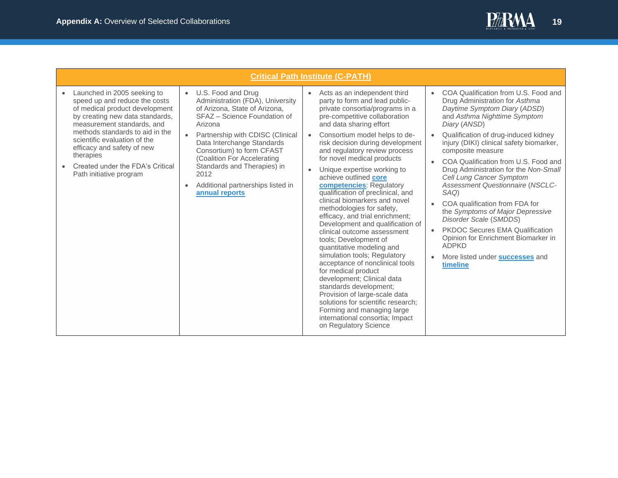

<span id="page-18-0"></span>

| <b>Critical Path Institute (C-PATH)</b>                                                                                                                                                                                                                                                                                                                   |                                                                                                                                                                                                                                                                                                                                                                                          |                                                                                                                                                                                                                                                                                                                                                                                                                                                                                                                                                                                                                                                                                                                                                                                                                                                                                                                                                                                                   |                                                                                                                                                                                                                                                                                                                                                                                                                                                                                                                                                                                                                                                                                                     |  |  |  |
|-----------------------------------------------------------------------------------------------------------------------------------------------------------------------------------------------------------------------------------------------------------------------------------------------------------------------------------------------------------|------------------------------------------------------------------------------------------------------------------------------------------------------------------------------------------------------------------------------------------------------------------------------------------------------------------------------------------------------------------------------------------|---------------------------------------------------------------------------------------------------------------------------------------------------------------------------------------------------------------------------------------------------------------------------------------------------------------------------------------------------------------------------------------------------------------------------------------------------------------------------------------------------------------------------------------------------------------------------------------------------------------------------------------------------------------------------------------------------------------------------------------------------------------------------------------------------------------------------------------------------------------------------------------------------------------------------------------------------------------------------------------------------|-----------------------------------------------------------------------------------------------------------------------------------------------------------------------------------------------------------------------------------------------------------------------------------------------------------------------------------------------------------------------------------------------------------------------------------------------------------------------------------------------------------------------------------------------------------------------------------------------------------------------------------------------------------------------------------------------------|--|--|--|
| Launched in 2005 seeking to<br>$\bullet$<br>speed up and reduce the costs<br>of medical product development<br>by creating new data standards,<br>measurement standards, and<br>methods standards to aid in the<br>scientific evaluation of the<br>efficacy and safety of new<br>therapies<br>Created under the FDA's Critical<br>Path initiative program | U.S. Food and Drug<br>$\bullet$<br>Administration (FDA), University<br>of Arizona, State of Arizona,<br>SFAZ - Science Foundation of<br>Arizona<br>Partnership with CDISC (Clinical<br>$\bullet$<br>Data Interchange Standards<br>Consortium) to form CFAST<br>(Coalition For Accelerating<br>Standards and Therapies) in<br>2012<br>Additional partnerships listed in<br>annual reports | Acts as an independent third<br>$\bullet$<br>party to form and lead public-<br>private consortia/programs in a<br>pre-competitive collaboration<br>and data sharing effort<br>Consortium model helps to de-<br>$\bullet$<br>risk decision during development<br>and regulatory review process<br>for novel medical products<br>Unique expertise working to<br>achieve outlined core<br>competencies: Regulatory<br>qualification of preclinical, and<br>clinical biomarkers and novel<br>methodologies for safety,<br>efficacy, and trial enrichment;<br>Development and qualification of<br>clinical outcome assessment<br>tools: Development of<br>quantitative modeling and<br>simulation tools; Regulatory<br>acceptance of nonclinical tools<br>for medical product<br>development; Clinical data<br>standards development;<br>Provision of large-scale data<br>solutions for scientific research:<br>Forming and managing large<br>international consortia; Impact<br>on Regulatory Science | COA Qualification from U.S. Food and<br>$\bullet$<br>Drug Administration for Asthma<br>Daytime Symptom Diary (ADSD)<br>and Asthma Nighttime Symptom<br>Diary (ANSD)<br>Qualification of drug-induced kidney<br>injury (DIKI) clinical safety biomarker,<br>composite measure<br>COA Qualification from U.S. Food and<br>Drug Administration for the Non-Small<br>Cell Lung Cancer Symptom<br><b>Assessment Questionnaire (NSCLC-</b><br>SAQ)<br>COA qualification from FDA for<br>the Symptoms of Major Depressive<br>Disorder Scale (SMDDS)<br><b>PKDOC Secures EMA Qualification</b><br>Opinion for Enrichment Biomarker in<br><b>ADPKD</b><br>More listed under <b>successes</b> and<br>timeline |  |  |  |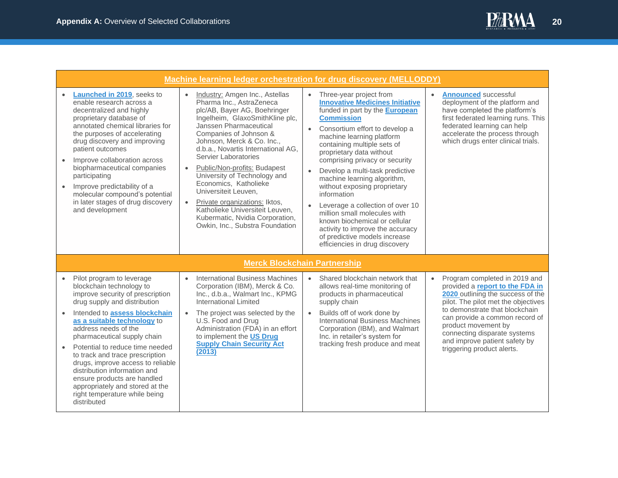

<span id="page-19-1"></span><span id="page-19-0"></span>

|           |                                                                                                                                                                                                                                                                                                                                                                                                                                                |                                                                                                                                                                                                                                                                                                                                                                                                                                                                                                                                                       | Machine learning ledger orchestration for drug discovery (MELLODDY)                                                                                                                                                                                                                                                                                                                                                                                                                                                                                                                                                                                                          |                                                                                                                                                                                                                                                           |
|-----------|------------------------------------------------------------------------------------------------------------------------------------------------------------------------------------------------------------------------------------------------------------------------------------------------------------------------------------------------------------------------------------------------------------------------------------------------|-------------------------------------------------------------------------------------------------------------------------------------------------------------------------------------------------------------------------------------------------------------------------------------------------------------------------------------------------------------------------------------------------------------------------------------------------------------------------------------------------------------------------------------------------------|------------------------------------------------------------------------------------------------------------------------------------------------------------------------------------------------------------------------------------------------------------------------------------------------------------------------------------------------------------------------------------------------------------------------------------------------------------------------------------------------------------------------------------------------------------------------------------------------------------------------------------------------------------------------------|-----------------------------------------------------------------------------------------------------------------------------------------------------------------------------------------------------------------------------------------------------------|
|           | Launched in 2019, seeks to<br>enable research across a<br>decentralized and highly<br>proprietary database of<br>annotated chemical libraries for<br>the purposes of accelerating<br>drug discovery and improving<br>patient outcomes<br>Improve collaboration across<br>biopharmaceutical companies<br>participating<br>Improve predictability of a<br>molecular compound's potential<br>in later stages of drug discovery<br>and development | Industry: Amgen Inc., Astellas<br>Pharma Inc., AstraZeneca<br>plc/AB, Bayer AG, Boehringer<br>Ingelheim, GlaxoSmithKline plc,<br>Janssen Pharmaceutical<br>Companies of Johnson &<br>Johnson, Merck & Co. Inc.,<br>d.b.a., Novartis International AG,<br>Servier Laboratories<br>Public/Non-profits: Budapest<br>University of Technology and<br>Economics, Katholieke<br>Universiteit Leuven,<br>Private organizations: Iktos,<br>$\bullet$<br>Katholieke Universiteit Leuven.<br>Kubermatic, Nvidia Corporation,<br>Owkin, Inc., Substra Foundation | Three-year project from<br>$\bullet$<br><b>Innovative Medicines Initiative</b><br>funded in part by the <b>European</b><br><b>Commission</b><br>Consortium effort to develop a<br>$\bullet$<br>machine learning platform<br>containing multiple sets of<br>proprietary data without<br>comprising privacy or security<br>Develop a multi-task predictive<br>$\bullet$<br>machine learning algorithm,<br>without exposing proprietary<br>information<br>Leverage a collection of over 10<br>$\bullet$<br>million small molecules with<br>known biochemical or cellular<br>activity to improve the accuracy<br>of predictive models increase<br>efficiencies in drug discovery | <b>Announced successful</b><br>$\bullet$<br>deployment of the platform and<br>have completed the platform's<br>first federated learning runs. This<br>federated learning can help<br>accelerate the process through<br>which drugs enter clinical trials. |
|           |                                                                                                                                                                                                                                                                                                                                                                                                                                                |                                                                                                                                                                                                                                                                                                                                                                                                                                                                                                                                                       | <b>Merck Blockchain Partnership</b>                                                                                                                                                                                                                                                                                                                                                                                                                                                                                                                                                                                                                                          |                                                                                                                                                                                                                                                           |
| $\bullet$ | Pilot program to leverage<br>blockchain technology to<br>improve security of prescription<br>drug supply and distribution                                                                                                                                                                                                                                                                                                                      | <b>International Business Machines</b><br>$\bullet$<br>Corporation (IBM), Merck & Co.<br>Inc., d.b.a., Walmart Inc., KPMG<br>International Limited                                                                                                                                                                                                                                                                                                                                                                                                    | Shared blockchain network that<br>$\bullet$<br>allows real-time monitoring of<br>products in pharmaceutical<br>supply chain                                                                                                                                                                                                                                                                                                                                                                                                                                                                                                                                                  | • Program completed in 2019 and<br>provided a report to the FDA in<br>2020 outlining the success of the<br>pilot. The pilot met the objectives                                                                                                            |
|           | Intended to assess blockchain<br>as a suitable technology to<br>address needs of the<br>pharmaceutical supply chain                                                                                                                                                                                                                                                                                                                            | The project was selected by the<br>U.S. Food and Drug<br>Administration (FDA) in an effort<br>to implement the US Drug                                                                                                                                                                                                                                                                                                                                                                                                                                | Builds off of work done by<br>$\bullet$<br><b>International Business Machines</b><br>Corporation (IBM), and Walmart<br>Inc. in retailer's system for                                                                                                                                                                                                                                                                                                                                                                                                                                                                                                                         | to demonstrate that blockchain<br>can provide a common record of<br>product movement by<br>connecting disparate systems<br>and improve patient safety by                                                                                                  |
| $\bullet$ | Potential to reduce time needed<br>to track and trace prescription<br>drugs, improve access to reliable<br>distribution information and<br>ensure products are handled<br>appropriately and stored at the                                                                                                                                                                                                                                      | <b>Supply Chain Security Act</b><br>(2013)                                                                                                                                                                                                                                                                                                                                                                                                                                                                                                            | tracking fresh produce and meat                                                                                                                                                                                                                                                                                                                                                                                                                                                                                                                                                                                                                                              | triggering product alerts.                                                                                                                                                                                                                                |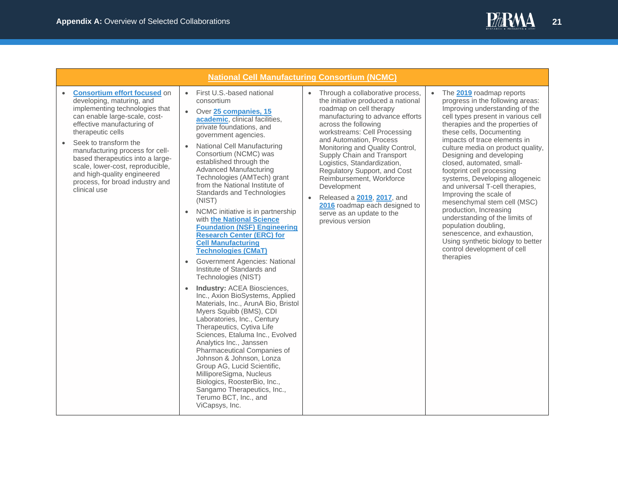

<span id="page-20-0"></span>

| <b>National Cell Manufacturing Consortium (NCMC)</b>                                                                                                                                                                                                                                                                                                                                                                      |                                                                                                                                                                                                                                                                                                                                                                                                                                                                                                                                                                                                                                                                                                                                                                                                                                                                                                                                                                                                                                                                                                                                                                                                                                      |                                                                                                                                                                                                                                                                                                                                                                                                                                                                                                                                  |                                                                                                                                                                                                                                                                                                                                                                                                                                                                                                                                                                                                                                                                                                  |  |  |
|---------------------------------------------------------------------------------------------------------------------------------------------------------------------------------------------------------------------------------------------------------------------------------------------------------------------------------------------------------------------------------------------------------------------------|--------------------------------------------------------------------------------------------------------------------------------------------------------------------------------------------------------------------------------------------------------------------------------------------------------------------------------------------------------------------------------------------------------------------------------------------------------------------------------------------------------------------------------------------------------------------------------------------------------------------------------------------------------------------------------------------------------------------------------------------------------------------------------------------------------------------------------------------------------------------------------------------------------------------------------------------------------------------------------------------------------------------------------------------------------------------------------------------------------------------------------------------------------------------------------------------------------------------------------------|----------------------------------------------------------------------------------------------------------------------------------------------------------------------------------------------------------------------------------------------------------------------------------------------------------------------------------------------------------------------------------------------------------------------------------------------------------------------------------------------------------------------------------|--------------------------------------------------------------------------------------------------------------------------------------------------------------------------------------------------------------------------------------------------------------------------------------------------------------------------------------------------------------------------------------------------------------------------------------------------------------------------------------------------------------------------------------------------------------------------------------------------------------------------------------------------------------------------------------------------|--|--|
| <b>Consortium effort focused on</b><br>$\bullet$<br>developing, maturing, and<br>implementing technologies that<br>can enable large-scale, cost-<br>effective manufacturing of<br>therapeutic cells<br>Seek to transform the<br>manufacturing process for cell-<br>based therapeutics into a large-<br>scale, lower-cost, reproducible,<br>and high-quality engineered<br>process, for broad industry and<br>clinical use | • First U.S.-based national<br>consortium<br>Over 25 companies, 15<br>$\bullet$<br>academic, clinical facilities,<br>private foundations, and<br>government agencies.<br>National Cell Manufacturing<br>$\bullet$<br>Consortium (NCMC) was<br>established through the<br><b>Advanced Manufacturing</b><br>Technologies (AMTech) grant<br>from the National Institute of<br>Standards and Technologies<br>(NIST)<br>NCMC initiative is in partnership<br>$\bullet$<br>with the National Science<br><b>Foundation (NSF) Engineering</b><br><b>Research Center (ERC) for</b><br><b>Cell Manufacturing</b><br><b>Technologies (CMaT)</b><br>Government Agencies: National<br>$\bullet$<br>Institute of Standards and<br>Technologies (NIST)<br>Industry: ACEA Biosciences,<br>Inc., Axion BioSystems, Applied<br>Materials, Inc., ArunA Bio, Bristol<br>Myers Squibb (BMS), CDI<br>Laboratories, Inc., Century<br>Therapeutics, Cytiva Life<br>Sciences, Etaluma Inc., Evolved<br>Analytics Inc., Janssen<br>Pharmaceutical Companies of<br>Johnson & Johnson, Lonza<br>Group AG, Lucid Scientific,<br>MilliporeSigma, Nucleus<br>Biologics, RoosterBio, Inc.,<br>Sangamo Therapeutics, Inc.,<br>Terumo BCT, Inc., and<br>ViCapsys, Inc. | Through a collaborative process,<br>the initiative produced a national<br>roadmap on cell therapy<br>manufacturing to advance efforts<br>across the following<br>workstreams: Cell Processing<br>and Automation, Process<br>Monitoring and Quality Control,<br>Supply Chain and Transport<br>Logistics, Standardization,<br>Regulatory Support, and Cost<br>Reimbursement, Workforce<br>Development<br>Released a 2019, 2017, and<br>$\bullet$<br>2016 roadmap each designed to<br>serve as an update to the<br>previous version | The 2019 roadmap reports<br>progress in the following areas:<br>Improving understanding of the<br>cell types present in various cell<br>therapies and the properties of<br>these cells, Documenting<br>impacts of trace elements in<br>culture media on product quality,<br>Designing and developing<br>closed, automated, small-<br>footprint cell processing<br>systems, Developing allogeneic<br>and universal T-cell therapies,<br>Improving the scale of<br>mesenchymal stem cell (MSC)<br>production, Increasing<br>understanding of the limits of<br>population doubling,<br>senescence, and exhaustion,<br>Using synthetic biology to better<br>control development of cell<br>therapies |  |  |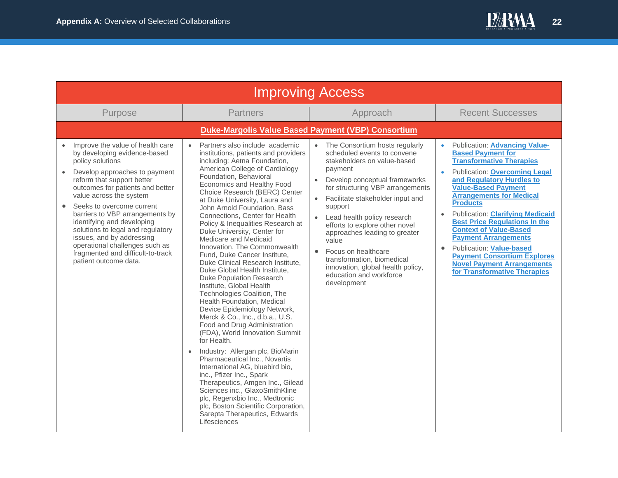<span id="page-21-1"></span><span id="page-21-0"></span>

| <b>Improving Access</b>                                                                                                                                                                                                                                                                                                                                                                                                                                                                         |                                                                                                                                                                                                                                                                                                                                                                                                                                                                                                                                                                                                                                                                                                                                                                                                                                                                                                                                                                                                                                                                                                                                                                                                                       |                                                                                                                                                                                                                                                                                                                                                                                                                                                                                                                                |                                                                                                                                                                                                                                                                                                                                                                                                                                                                                                                                                                                         |  |  |  |  |
|-------------------------------------------------------------------------------------------------------------------------------------------------------------------------------------------------------------------------------------------------------------------------------------------------------------------------------------------------------------------------------------------------------------------------------------------------------------------------------------------------|-----------------------------------------------------------------------------------------------------------------------------------------------------------------------------------------------------------------------------------------------------------------------------------------------------------------------------------------------------------------------------------------------------------------------------------------------------------------------------------------------------------------------------------------------------------------------------------------------------------------------------------------------------------------------------------------------------------------------------------------------------------------------------------------------------------------------------------------------------------------------------------------------------------------------------------------------------------------------------------------------------------------------------------------------------------------------------------------------------------------------------------------------------------------------------------------------------------------------|--------------------------------------------------------------------------------------------------------------------------------------------------------------------------------------------------------------------------------------------------------------------------------------------------------------------------------------------------------------------------------------------------------------------------------------------------------------------------------------------------------------------------------|-----------------------------------------------------------------------------------------------------------------------------------------------------------------------------------------------------------------------------------------------------------------------------------------------------------------------------------------------------------------------------------------------------------------------------------------------------------------------------------------------------------------------------------------------------------------------------------------|--|--|--|--|
| Purpose                                                                                                                                                                                                                                                                                                                                                                                                                                                                                         | <b>Partners</b>                                                                                                                                                                                                                                                                                                                                                                                                                                                                                                                                                                                                                                                                                                                                                                                                                                                                                                                                                                                                                                                                                                                                                                                                       | Approach                                                                                                                                                                                                                                                                                                                                                                                                                                                                                                                       | <b>Recent Successes</b>                                                                                                                                                                                                                                                                                                                                                                                                                                                                                                                                                                 |  |  |  |  |
|                                                                                                                                                                                                                                                                                                                                                                                                                                                                                                 | <b>Duke-Margolis Value Based Payment (VBP) Consortium</b>                                                                                                                                                                                                                                                                                                                                                                                                                                                                                                                                                                                                                                                                                                                                                                                                                                                                                                                                                                                                                                                                                                                                                             |                                                                                                                                                                                                                                                                                                                                                                                                                                                                                                                                |                                                                                                                                                                                                                                                                                                                                                                                                                                                                                                                                                                                         |  |  |  |  |
| Improve the value of health care<br>by developing evidence-based<br>policy solutions<br>Develop approaches to payment<br>reform that support better<br>outcomes for patients and better<br>value across the system<br>Seeks to overcome current<br>$\bullet$<br>barriers to VBP arrangements by<br>identifying and developing<br>solutions to legal and regulatory<br>issues, and by addressing<br>operational challenges such as<br>fragmented and difficult-to-track<br>patient outcome data. | Partners also include academic<br>$\bullet$<br>institutions, patients and providers<br>including: Aetna Foundation,<br>American College of Cardiology<br>Foundation, Behavioral<br>Economics and Healthy Food<br>Choice Research (BERC) Center<br>at Duke University, Laura and<br>John Arnold Foundation, Bass<br>Connections, Center for Health<br>Policy & Inequalities Research at<br>Duke University, Center for<br>Medicare and Medicaid<br>Innovation, The Commonwealth<br>Fund, Duke Cancer Institute,<br>Duke Clinical Research Institute.<br>Duke Global Health Institute,<br><b>Duke Population Research</b><br>Institute, Global Health<br>Technologies Coalition, The<br>Health Foundation, Medical<br>Device Epidemiology Network,<br>Merck & Co., Inc., d.b.a., U.S.<br>Food and Drug Administration<br>(FDA), World Innovation Summit<br>for Health.<br>Industry: Allergan plc, BioMarin<br>$\bullet$<br>Pharmaceutical Inc., Novartis<br>International AG, bluebird bio,<br>inc., Pfizer Inc., Spark<br>Therapeutics, Amgen Inc., Gilead<br>Sciences inc., GlaxoSmithKline<br>plc, Regenxbio Inc., Medtronic<br>plc, Boston Scientific Corporation,<br>Sarepta Therapeutics, Edwards<br>Lifesciences | The Consortium hosts regularly<br>$\bullet$<br>scheduled events to convene<br>stakeholders on value-based<br>payment<br>Develop conceptual frameworks<br>$\bullet$<br>for structuring VBP arrangements<br>Facilitate stakeholder input and<br>$\bullet$<br>support<br>Lead health policy research<br>$\bullet$<br>efforts to explore other novel<br>approaches leading to greater<br>value<br>Focus on healthcare<br>transformation, biomedical<br>innovation, global health policy,<br>education and workforce<br>development | <b>Publication: Advancing Value-</b><br><b>Based Payment for</b><br><b>Transformative Therapies</b><br><b>Publication: Overcoming Legal</b><br>and Regulatory Hurdles to<br><b>Value-Based Payment</b><br><b>Arrangements for Medical</b><br><b>Products</b><br><b>Publication: Clarifying Medicaid</b><br>$\bullet$<br><b>Best Price Regulations In the</b><br><b>Context of Value-Based</b><br><b>Payment Arrangements</b><br><b>Publication: Value-based</b><br>$\bullet$<br><b>Payment Consortium Explores</b><br><b>Novel Payment Arrangements</b><br>for Transformative Therapies |  |  |  |  |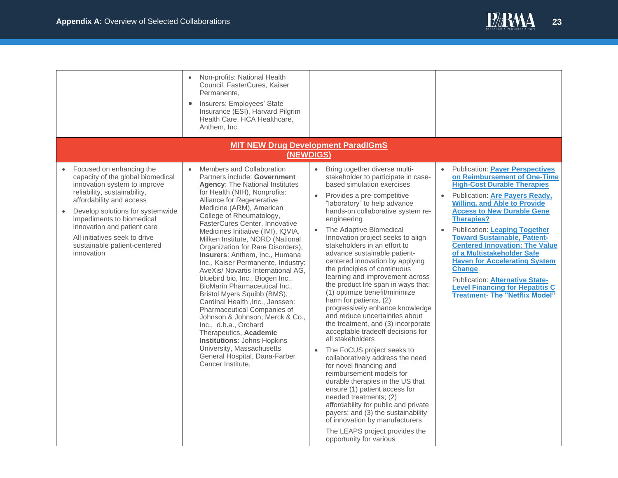

<span id="page-22-0"></span>

|                                                                                                                                                                                                                                                                                                                                          | Non-profits: National Health<br>Council, FasterCures, Kaiser<br>Permanente.<br>Insurers: Employees' State<br>Insurance (ESI), Harvard Pilgrim<br>Health Care, HCA Healthcare,<br>Anthem, Inc.                                                                                                                                                                                                                                                                                                                                                                                                                                                                                                                                                                                                                                                                                  |                                                                                                                                                                                                                                                                                                                                                                                                                                                                                                                                                                                                                                                                                                                                                                                                                                                                                                                                                                                                                                                                                                                                                                 |                                                                                                                                                                                                                                                                                                                                                                                                                                                                                                                                                                                                            |  |  |  |
|------------------------------------------------------------------------------------------------------------------------------------------------------------------------------------------------------------------------------------------------------------------------------------------------------------------------------------------|--------------------------------------------------------------------------------------------------------------------------------------------------------------------------------------------------------------------------------------------------------------------------------------------------------------------------------------------------------------------------------------------------------------------------------------------------------------------------------------------------------------------------------------------------------------------------------------------------------------------------------------------------------------------------------------------------------------------------------------------------------------------------------------------------------------------------------------------------------------------------------|-----------------------------------------------------------------------------------------------------------------------------------------------------------------------------------------------------------------------------------------------------------------------------------------------------------------------------------------------------------------------------------------------------------------------------------------------------------------------------------------------------------------------------------------------------------------------------------------------------------------------------------------------------------------------------------------------------------------------------------------------------------------------------------------------------------------------------------------------------------------------------------------------------------------------------------------------------------------------------------------------------------------------------------------------------------------------------------------------------------------------------------------------------------------|------------------------------------------------------------------------------------------------------------------------------------------------------------------------------------------------------------------------------------------------------------------------------------------------------------------------------------------------------------------------------------------------------------------------------------------------------------------------------------------------------------------------------------------------------------------------------------------------------------|--|--|--|
| <b>MIT NEW Drug Development ParadIGmS</b><br>(NEWDIGS)                                                                                                                                                                                                                                                                                   |                                                                                                                                                                                                                                                                                                                                                                                                                                                                                                                                                                                                                                                                                                                                                                                                                                                                                |                                                                                                                                                                                                                                                                                                                                                                                                                                                                                                                                                                                                                                                                                                                                                                                                                                                                                                                                                                                                                                                                                                                                                                 |                                                                                                                                                                                                                                                                                                                                                                                                                                                                                                                                                                                                            |  |  |  |
| Focused on enhancing the<br>capacity of the global biomedical<br>innovation system to improve<br>reliability, sustainability,<br>affordability and access<br>Develop solutions for systemwide<br>impediments to biomedical<br>innovation and patient care<br>All initiatives seek to drive<br>sustainable patient-centered<br>innovation | Members and Collaboration<br>Partners include: Government<br><b>Agency: The National Institutes</b><br>for Health (NIH), Nonprofits:<br>Alliance for Regenerative<br>Medicine (ARM), American<br>College of Rheumatology,<br>FasterCures Center, Innovative<br>Medicines Initiative (IMI), IQVIA,<br>Milken Institute, NORD (National<br>Organization for Rare Disorders),<br>Insurers: Anthem, Inc., Humana<br>Inc., Kaiser Permanente, Industry:<br>AveXis/ Novartis International AG.<br>bluebird bio, Inc., Biogen Inc.,<br>BioMarin Pharmaceutical Inc.,<br>Bristol Myers Squibb (BMS),<br>Cardinal Health , Inc., Janssen:<br>Pharmaceutical Companies of<br>Johnson & Johnson, Merck & Co.,<br>Inc., d.b.a., Orchard<br>Therapeutics, Academic<br><b>Institutions: Johns Hopkins</b><br>University, Massachusetts<br>General Hospital, Dana-Farber<br>Cancer Institute. | Bring together diverse multi-<br>$\bullet$<br>stakeholder to participate in case-<br>based simulation exercises<br>Provides a pre-competitive<br>"laboratory" to help advance<br>hands-on collaborative system re-<br>engineering<br>The Adaptive Biomedical<br>Innovation project seeks to align<br>stakeholders in an effort to<br>advance sustainable patient-<br>centered innovation by applying<br>the principles of continuous<br>learning and improvement across<br>the product life span in ways that:<br>(1) optimize benefit/minimize<br>harm for patients, (2)<br>progressively enhance knowledge<br>and reduce uncertainties about<br>the treatment, and (3) incorporate<br>acceptable tradeoff decisions for<br>all stakeholders<br>The FoCUS project seeks to<br>$\bullet$<br>collaboratively address the need<br>for novel financing and<br>reimbursement models for<br>durable therapies in the US that<br>ensure (1) patient access for<br>needed treatments; (2)<br>affordability for public and private<br>payers; and (3) the sustainability<br>of innovation by manufacturers<br>The LEAPS project provides the<br>opportunity for various | • Publication: Payer Perspectives<br>on Reimbursement of One-Time<br><b>High-Cost Durable Therapies</b><br><b>Publication: Are Payers Ready,</b><br><b>Willing, and Able to Provide</b><br><b>Access to New Durable Gene</b><br><b>Therapies?</b><br><b>Publication: Leaping Together</b><br>$\bullet$<br><b>Toward Sustainable, Patient-</b><br><b>Centered Innovation: The Value</b><br>of a Multistakeholder Safe<br><b>Haven for Accelerating System</b><br><b>Change</b><br><b>Publication: Alternative State-</b><br><b>Level Financing for Hepatitis C</b><br><b>Treatment- The "Netflix Model"</b> |  |  |  |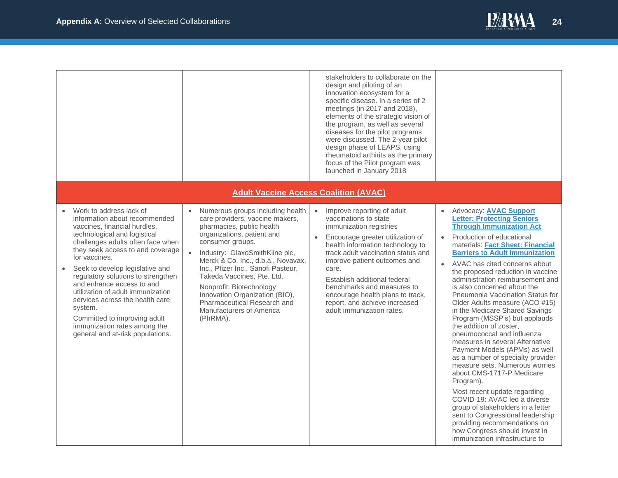

<span id="page-23-0"></span>

|                                                                                                                                                                                                                                                                                                                                                                                                                                                                                                                 |                                                                                                                                                                                                                                                                                                                                                                                                                                     | stakeholders to collaborate on the<br>design and piloting of an<br>innovation ecosystem for a<br>specific disease. In a series of 2<br>meetings (in 2017 and 2018),<br>elements of the strategic vision of<br>the program, as well as several<br>diseases for the pilot programs<br>were discussed. The 2-year pilot<br>design phase of LEAPS, using<br>rheumatoid arthirits as the primary<br>focus of the Pilot program was<br>launched in January 2018 |                                                                                                                                                                                                                                                                                                                                                                                                                                                                                                                                                                                                                                                                                                                                                                                                                                                                                                                                                                                                                |
|-----------------------------------------------------------------------------------------------------------------------------------------------------------------------------------------------------------------------------------------------------------------------------------------------------------------------------------------------------------------------------------------------------------------------------------------------------------------------------------------------------------------|-------------------------------------------------------------------------------------------------------------------------------------------------------------------------------------------------------------------------------------------------------------------------------------------------------------------------------------------------------------------------------------------------------------------------------------|-----------------------------------------------------------------------------------------------------------------------------------------------------------------------------------------------------------------------------------------------------------------------------------------------------------------------------------------------------------------------------------------------------------------------------------------------------------|----------------------------------------------------------------------------------------------------------------------------------------------------------------------------------------------------------------------------------------------------------------------------------------------------------------------------------------------------------------------------------------------------------------------------------------------------------------------------------------------------------------------------------------------------------------------------------------------------------------------------------------------------------------------------------------------------------------------------------------------------------------------------------------------------------------------------------------------------------------------------------------------------------------------------------------------------------------------------------------------------------------|
|                                                                                                                                                                                                                                                                                                                                                                                                                                                                                                                 | <b>Adult Vaccine Access Coalition (AVAC)</b>                                                                                                                                                                                                                                                                                                                                                                                        |                                                                                                                                                                                                                                                                                                                                                                                                                                                           |                                                                                                                                                                                                                                                                                                                                                                                                                                                                                                                                                                                                                                                                                                                                                                                                                                                                                                                                                                                                                |
| Work to address lack of<br>information about recommended<br>vaccines, financial hurdles,<br>technological and logistical<br>challenges adults often face when<br>they seek access to and coverage<br>for vaccines.<br>Seek to develop legislative and<br>regulatory solutions to strengthen<br>and enhance access to and<br>utilization of adult immunization<br>services across the health care<br>system.<br>Committed to improving adult<br>immunization rates among the<br>general and at-risk populations. | Numerous groups including health<br>care providers, vaccine makers,<br>pharmacies, public health<br>organizations, patient and<br>consumer groups.<br>Industry: GlaxoSmithKline plc,<br>Merck & Co. Inc., d.b.a., Novavax,<br>Inc., Pfizer Inc., Sanofi Pasteur,<br>Takeda Vaccines, Pte. Ltd.<br>Nonprofit: Biotechnology<br>Innovation Organization (BIO),<br>Pharmaceutical Research and<br>Manufacturers of America<br>(PhRMA). | Improve reporting of adult<br>$\bullet$<br>vaccinations to state<br>immunization registries<br>Encourage greater utilization of<br>$\bullet$<br>health information technology to<br>track adult vaccination status and<br>improve patient outcomes and<br>care.<br>Establish additional federal<br>benchmarks and measures to<br>encourage health plans to track,<br>report, and achieve increased<br>adult immunization rates.                           | Advocacy: AVAC Support<br><b>Letter: Protecting Seniors</b><br><b>Through Immunization Act</b><br>Production of educational<br>$\bullet$<br>materials: Fact Sheet: Financial<br><b>Barriers to Adult Immunization</b><br>AVAC has cited concerns about<br>$\bullet$<br>the proposed reduction in vaccine<br>administration reimbursement and<br>is also concerned about the<br>Pneumonia Vaccination Status for<br>Older Adults measure (ACO #15)<br>in the Medicare Shared Savings<br>Program (MSSP's) but applauds<br>the addition of zoster.<br>pneumococcal and influenza<br>measures in several Alternative<br>Payment Models (APMs) as well<br>as a number of specialty provider<br>measure sets. Numerous worries<br>about CMS-1717-P Medicare<br>Program).<br>Most recent update regarding<br>COVID-19: AVAC led a diverse<br>group of stakeholders in a letter<br>sent to Congressional leadership<br>providing recommendations on<br>how Congress should invest in<br>immunization infrastructure to |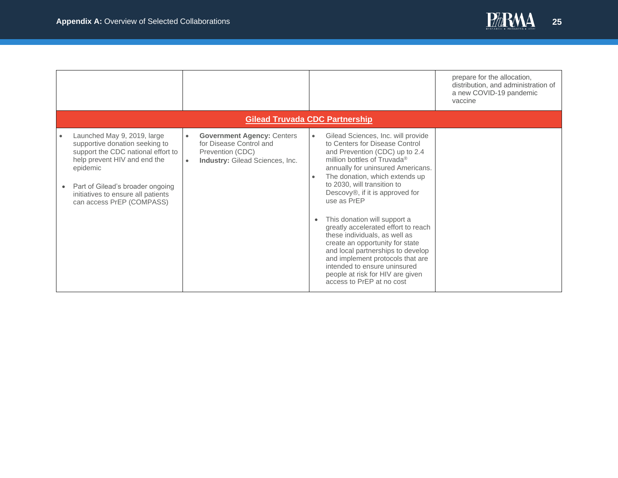

<span id="page-24-0"></span>

|                                                                                                                                                                                                                                                        |                        |                                                                                                                     |           |                                                                                                                                                                                                                                                                                                                                                                                                                                                                                                                                                                                                                                | prepare for the allocation,<br>distribution, and administration of<br>a new COVID-19 pandemic<br>vaccine |
|--------------------------------------------------------------------------------------------------------------------------------------------------------------------------------------------------------------------------------------------------------|------------------------|---------------------------------------------------------------------------------------------------------------------|-----------|--------------------------------------------------------------------------------------------------------------------------------------------------------------------------------------------------------------------------------------------------------------------------------------------------------------------------------------------------------------------------------------------------------------------------------------------------------------------------------------------------------------------------------------------------------------------------------------------------------------------------------|----------------------------------------------------------------------------------------------------------|
| <b>Gilead Truvada CDC Partnership</b>                                                                                                                                                                                                                  |                        |                                                                                                                     |           |                                                                                                                                                                                                                                                                                                                                                                                                                                                                                                                                                                                                                                |                                                                                                          |
| Launched May 9, 2019, large<br>supportive donation seeking to<br>support the CDC national effort to<br>help prevent HIV and end the<br>epidemic<br>Part of Gilead's broader ongoing<br>initiatives to ensure all patients<br>can access PrEP (COMPASS) | $\bullet$<br>$\bullet$ | <b>Government Agency: Centers</b><br>for Disease Control and<br>Prevention (CDC)<br>Industry: Gilead Sciences, Inc. | $\bullet$ | Gilead Sciences, Inc. will provide<br>to Centers for Disease Control<br>and Prevention (CDC) up to 2.4<br>million bottles of Truvada <sup>®</sup><br>annually for uninsured Americans.<br>The donation, which extends up<br>to 2030, will transition to<br>Descovy®, if it is approved for<br>use as PrEP<br>This donation will support a<br>greatly accelerated effort to reach<br>these individuals, as well as<br>create an opportunity for state<br>and local partnerships to develop<br>and implement protocols that are<br>intended to ensure uninsured<br>people at risk for HIV are given<br>access to PrEP at no cost |                                                                                                          |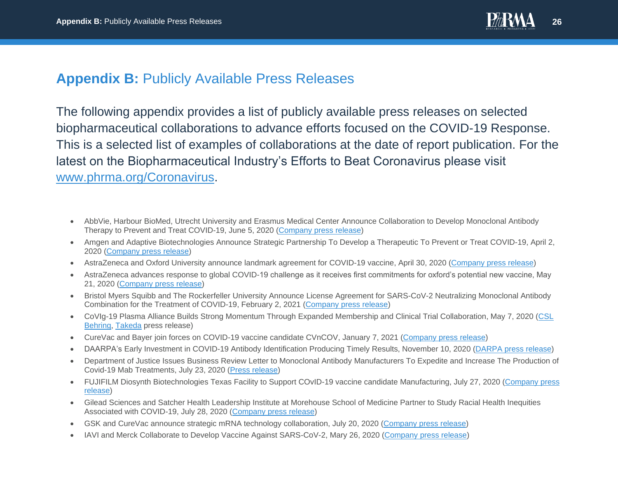

## **Appendix B:** Publicly Available Press Releases

The following appendix provides a list of publicly available press releases on selected biopharmaceutical collaborations to advance efforts focused on the COVID-19 Response. This is a selected list of examples of collaborations at the date of report publication. For the latest on the Biopharmaceutical Industry's Efforts to Beat Coronavirus please visit [www.phrma.org/Coronavirus.](http://www.phrma.org/Coronavirus)

- AbbVie, Harbour BioMed, Utrecht University and Erasmus Medical Center Announce Collaboration to Develop Monoclonal Antibody Therapy to Prevent and Treat COVID-19, June 5, 2020 [\(Company press release\)](https://news.abbvie.com/news/press-releases/abbvie-harbour-biomed-utrecht-university-and-erasmus-medical-center-announce-collaboration-to-develop-monoclonal-antibody-therapy-to-prevent-and-treat-covid-19.htm)
- Amgen and Adaptive Biotechnologies Announce Strategic Partnership To Develop a Therapeutic To Prevent or Treat COVID-19, April 2, 2020 [\(Company press release\)](https://www.amgen.com/newsroom/press-releases/2020/04/amgen-and-adaptive-biotechnologies-announce-strategic-partnership-to-develop-a-therapeutic-to-prevent-or-treat-covid-19)
- AstraZeneca and Oxford University announce landmark agreement for COVID-19 vaccine, April 30, 2020 [\(Company press release\)](https://www.astrazeneca.com/media-centre/press-releases/2020/astrazeneca-and-oxford-university-announce-landmark-agreement-for-covid-19-vaccine.html)
- AstraZeneca advances response to global COVID-19 challenge as it receives first commitments for oxford's potential new vaccine, May 21, 2020 [\(Company press release\)](https://www.astrazeneca.com/media-centre/press-releases/2020/astrazeneca-advances-response-to-global-covid-19-challenge-as-it-receives-first-commitments-for-oxfords-potential-new-vaccine.html)
- Bristol Myers Squibb and The Rockerfeller University Announce License Agreement for SARS-CoV-2 Neutralizing Monoclonal Antibody Combination for the Treatment of COVID-19, February 2, 2021 [\(Company press release\)](https://news.bms.com/news/corporate-financial/2021/Bristol-Myers-Squibb-and-The-Rockefeller-University-Announce-License-Agreement-for-SARS-CoV-2-Neutralizing-Monoclonal-Antibody-Combination-for-the-Treatment-of-COVID-19/default.aspx)
- CoVIg-19 Plasma Alliance Builds Strong Momentum Through Expanded Membership and Clinical Trial Collaboration, May 7, 2020 [\(CSL](https://www.cslbehring.com/newsroom/2020/covig19-plasma-alliance-expands-membership)  [Behring,](https://www.cslbehring.com/newsroom/2020/covig19-plasma-alliance-expands-membership) [Takeda](https://www.takeda.com/newsroom/newsreleases/2020/covig-19-plasma-alliance-builds-strong-momentum-through-expanded-membership-and-clinical-trial-collaboration/) press release)
- CureVac and Bayer join forces on COVID-19 vaccine candidate CVnCOV, January 7, 2021 [\(Company press release\)](https://media.bayer.com/baynews/baynews.nsf/id/CureVac-and-Bayer-join-forces-on-COVID-19-vaccine-candidate-CVnCoV)
- DAARPA's Early Investment in COVID-19 Antibody Identification Producing Timely Results, November 10, 2020 [\(DARPA press release\)](https://www.darpa.mil/news-events/2020-11-10)
- Department of Justice Issues Business Review Letter to Monoclonal Antibody Manufacturers To Expedite and Increase The Production of Covid-19 Mab Treatments, July 23, 2020 [\(Press release\)](https://www.justice.gov/opa/pr/department-justice-issues-business-review-letter-monoclonal-antibody-manufacturers-expedite)
- FUJIFILM Diosynth Biotechnologies Texas Facility to Support COvID-19 vaccine candidate Manufacturing, July 27, 2020 [\(Company press](https://www.fujifilm.com/news/n200727_02.html)  [release\)](https://www.fujifilm.com/news/n200727_02.html)
- Gilead Sciences and Satcher Health Leadership Institute at Morehouse School of Medicine Partner to Study Racial Health Inequities Associated with COVID-19, July 28, 2020 [\(Company press release\)](https://www.gilead.com/news-and-press/press-room/press-releases/2020/7/gilead-sciences-and-satcher-health-leadership-institute-at-morehouse-school-of-medicine-partner-to-study-racial-health-inequities-associated-with-covi)
- GSK and CureVac announce strategic mRNA technology collaboration, July 20, 2020 [\(Company press release\)](https://www.gsk.com/en-gb/media/press-releases/gsk-and-curevac-announce-strategic-mrna-technology-collaboration/)
- IAVI and Merck Collaborate to Develop Vaccine Against SARS-CoV-2, Mary 26, 2020 [\(Company press release\)](https://www.merck.com/news/iavi-and-merck-collaborate-to-develop-vaccine-against-sars-cov-2/)